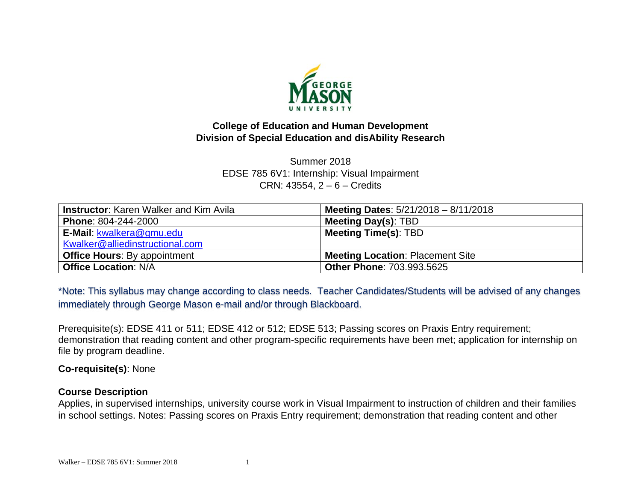

### **College of Education and Human Development Division of Special Education and disAbility Research**

Summer 2018 EDSE 785 6V1: Internship: Visual Impairment CRN: 43554, 2 – 6 – Credits

| Instructor: Karen Walker and Kim Avila | Meeting Dates: $5/21/2018 - 8/11/2018$ |
|----------------------------------------|----------------------------------------|
| Phone: 804-244-2000                    | <b>Meeting Day(s): TBD</b>             |
| E-Mail: kwalkera@gmu.edu               | <b>Meeting Time(s): TBD</b>            |
| Kwalker@alliedinstructional.com        |                                        |
| <b>Office Hours:</b> By appointment    | Meeting Location: Placement Site       |
| <b>Office Location: N/A</b>            | <b>Other Phone: 703.993.5625</b>       |

\*Note: This syllabus may change according to class needs. Teacher Candidates/Students will be advised of any changes immediately through George Mason e-mail and/or through Blackboard.

Prerequisite(s): EDSE 411 or 511; EDSE 412 or 512; EDSE 513; Passing scores on Praxis Entry requirement; demonstration that reading content and other program-specific requirements have been met; application for internship on file by program deadline.

**Co-requisite(s)**: None

### **Course Description**

Applies, in supervised internships, university course work in Visual Impairment to instruction of children and their families in school settings. Notes: Passing scores on Praxis Entry requirement; demonstration that reading content and other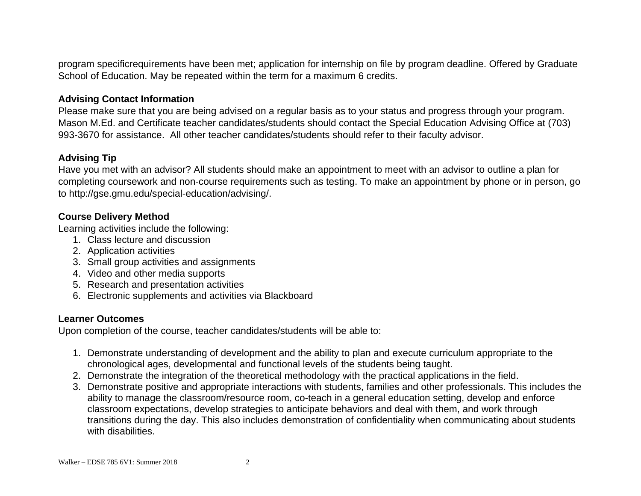program specificrequirements have been met; application for internship on file by program deadline. Offered by Graduate School of Education. May be repeated within the term for a maximum 6 credits.

### **Advising Contact Information**

Please make sure that you are being advised on a regular basis as to your status and progress through your program. Mason M.Ed. and Certificate teacher candidates/students should contact the Special Education Advising Office at (703) 993-3670 for assistance. All other teacher candidates/students should refer to their faculty advisor.

### **Advising Tip**

Have you met with an advisor? All students should make an appointment to meet with an advisor to outline a plan for completing coursework and non-course requirements such as testing. To make an appointment by phone or in person, go to http://gse.gmu.edu/special-education/advising/.

## **Course Delivery Method**

Learning activities include the following:

- 1. Class lecture and discussion
- 2. Application activities
- 3. Small group activities and assignments
- 4. Video and other media supports
- 5. Research and presentation activities
- 6. Electronic supplements and activities via Blackboard

### **Learner Outcomes**

Upon completion of the course, teacher candidates/students will be able to:

- 1. Demonstrate understanding of development and the ability to plan and execute curriculum appropriate to the chronological ages, developmental and functional levels of the students being taught.
- 2. Demonstrate the integration of the theoretical methodology with the practical applications in the field.
- 3. Demonstrate positive and appropriate interactions with students, families and other professionals. This includes the ability to manage the classroom/resource room, co-teach in a general education setting, develop and enforce classroom expectations, develop strategies to anticipate behaviors and deal with them, and work through transitions during the day. This also includes demonstration of confidentiality when communicating about students with disabilities.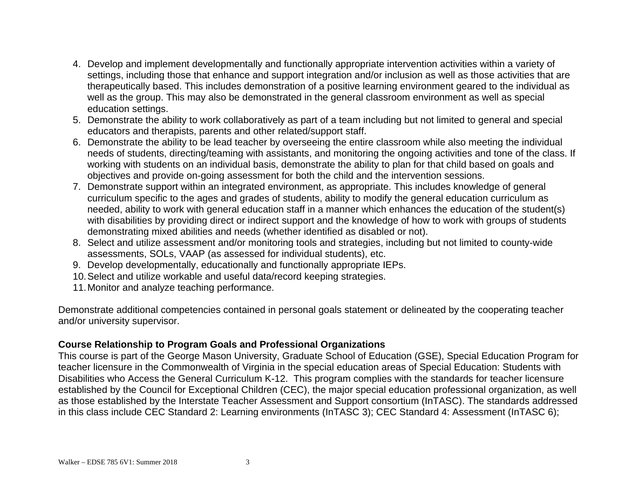- 4. Develop and implement developmentally and functionally appropriate intervention activities within a variety of settings, including those that enhance and support integration and/or inclusion as well as those activities that are therapeutically based. This includes demonstration of a positive learning environment geared to the individual as well as the group. This may also be demonstrated in the general classroom environment as well as special education settings.
- 5. Demonstrate the ability to work collaboratively as part of a team including but not limited to general and special educators and therapists, parents and other related/support staff.
- 6. Demonstrate the ability to be lead teacher by overseeing the entire classroom while also meeting the individual needs of students, directing/teaming with assistants, and monitoring the ongoing activities and tone of the class. If working with students on an individual basis, demonstrate the ability to plan for that child based on goals and objectives and provide on-going assessment for both the child and the intervention sessions.
- 7. Demonstrate support within an integrated environment, as appropriate. This includes knowledge of general curriculum specific to the ages and grades of students, ability to modify the general education curriculum as needed, ability to work with general education staff in a manner which enhances the education of the student(s) with disabilities by providing direct or indirect support and the knowledge of how to work with groups of students demonstrating mixed abilities and needs (whether identified as disabled or not).
- 8. Select and utilize assessment and/or monitoring tools and strategies, including but not limited to county-wide assessments, SOLs, VAAP (as assessed for individual students), etc.
- 9. Develop developmentally, educationally and functionally appropriate IEPs.
- 10. Select and utilize workable and useful data/record keeping strategies.
- 11. Monitor and analyze teaching performance.

Demonstrate additional competencies contained in personal goals statement or delineated by the cooperating teacher and/or university supervisor.

### **Course Relationship to Program Goals and Professional Organizations**

This course is part of the George Mason University, Graduate School of Education (GSE), Special Education Program for teacher licensure in the Commonwealth of Virginia in the special education areas of Special Education: Students with Disabilities who Access the General Curriculum K-12. This program complies with the standards for teacher licensure established by the Council for Exceptional Children (CEC), the major special education professional organization, as well as those established by the Interstate Teacher Assessment and Support consortium (InTASC). The standards addressed in this class include CEC Standard 2: Learning environments (InTASC 3); CEC Standard 4: Assessment (InTASC 6);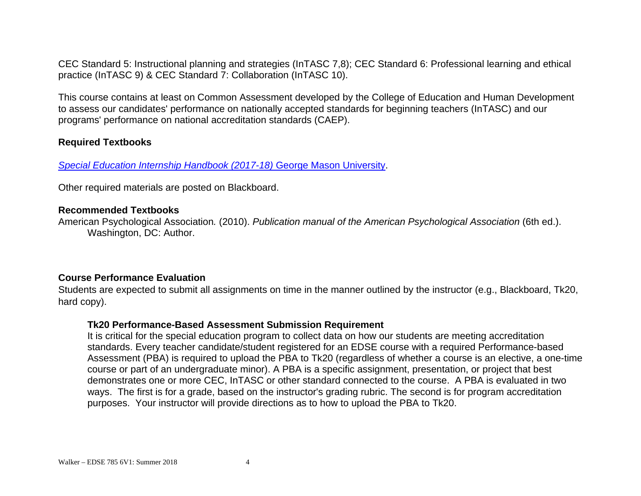CEC Standard 5: Instructional planning and strategies (InTASC 7,8); CEC Standard 6: Professional learning and ethical practice (InTASC 9) & CEC Standard 7: Collaboration (InTASC 10).

This course contains at least on Common Assessment developed by the College of Education and Human Development to assess our candidates' performance on nationally accepted standards for beginning teachers (InTASC) and our programs' performance on national accreditation standards (CAEP).

### **Required Textbooks**

**Special Education Internship Handbook (2017-18) George Mason University.** 

Other required materials are posted on Blackboard.

### **Recommended Textbooks**

American Psychological Association*.* (2010). *Publication manual of the American Psychological Association* (6th ed.). Washington, DC: Author.

### **Course Performance Evaluation**

Students are expected to submit all assignments on time in the manner outlined by the instructor (e.g., Blackboard, Tk20, hard copy).

### **Tk20 Performance-Based Assessment Submission Requirement**

It is critical for the special education program to collect data on how our students are meeting accreditation standards. Every teacher candidate/student registered for an EDSE course with a required Performance-based Assessment (PBA) is required to upload the PBA to Tk20 (regardless of whether a course is an elective, a one-time course or part of an undergraduate minor). A PBA is a specific assignment, presentation, or project that best demonstrates one or more CEC, InTASC or other standard connected to the course. A PBA is evaluated in two ways. The first is for a grade, based on the instructor's grading rubric. The second is for program accreditation purposes. Your instructor will provide directions as to how to upload the PBA to Tk20.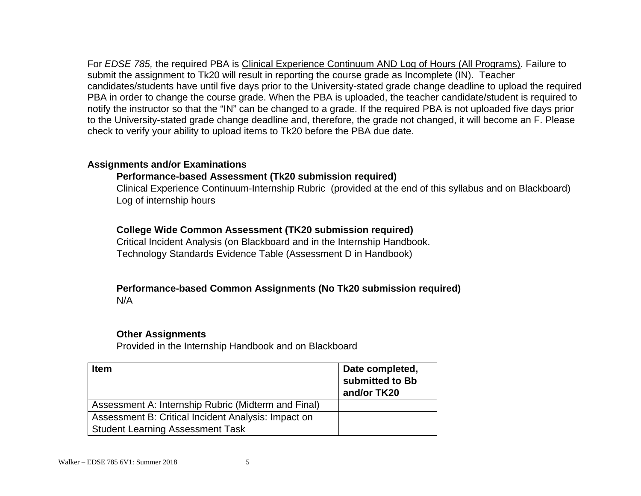For *EDSE 785,* the required PBA is Clinical Experience Continuum AND Log of Hours (All Programs). Failure to submit the assignment to Tk20 will result in reporting the course grade as Incomplete (IN). Teacher candidates/students have until five days prior to the University-stated grade change deadline to upload the required PBA in order to change the course grade. When the PBA is uploaded, the teacher candidate/student is required to notify the instructor so that the "IN" can be changed to a grade. If the required PBA is not uploaded five days prior to the University-stated grade change deadline and, therefore, the grade not changed, it will become an F. Please check to verify your ability to upload items to Tk20 before the PBA due date.

### **Assignments and/or Examinations**

## **Performance-based Assessment (Tk20 submission required)**

Clinical Experience Continuum-Internship Rubric (provided at the end of this syllabus and on Blackboard) Log of internship hours

## **College Wide Common Assessment (TK20 submission required)**

Critical Incident Analysis (on Blackboard and in the Internship Handbook. Technology Standards Evidence Table (Assessment D in Handbook)

#### **Performance-based Common Assignments (No Tk20 submission required)**  N/A

#### **Other Assignments**

Provided in the Internship Handbook and on Blackboard

| <b>Item</b>                                         | Date completed,<br>submitted to Bb<br>and/or TK20 |
|-----------------------------------------------------|---------------------------------------------------|
| Assessment A: Internship Rubric (Midterm and Final) |                                                   |
| Assessment B: Critical Incident Analysis: Impact on |                                                   |
| <b>Student Learning Assessment Task</b>             |                                                   |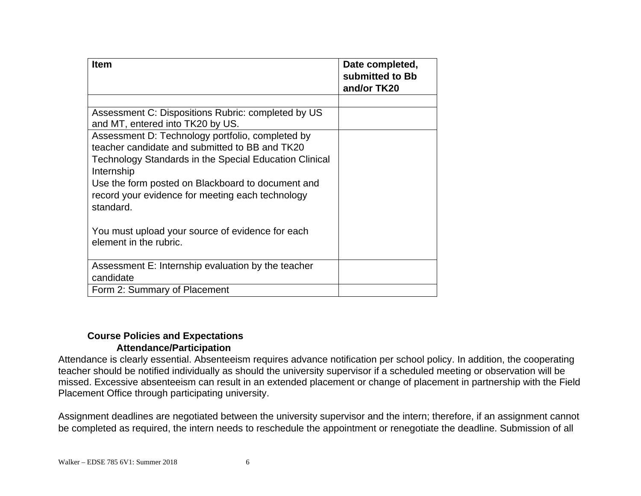| <b>Item</b>                                                                                                                                                                                                                                                                                      | Date completed,<br>submitted to Bb<br>and/or TK20 |
|--------------------------------------------------------------------------------------------------------------------------------------------------------------------------------------------------------------------------------------------------------------------------------------------------|---------------------------------------------------|
|                                                                                                                                                                                                                                                                                                  |                                                   |
| Assessment C: Dispositions Rubric: completed by US<br>and MT, entered into TK20 by US.                                                                                                                                                                                                           |                                                   |
| Assessment D: Technology portfolio, completed by<br>teacher candidate and submitted to BB and TK20<br>Technology Standards in the Special Education Clinical<br>Internship<br>Use the form posted on Blackboard to document and<br>record your evidence for meeting each technology<br>standard. |                                                   |
| You must upload your source of evidence for each<br>element in the rubric.                                                                                                                                                                                                                       |                                                   |
| Assessment E: Internship evaluation by the teacher<br>candidate                                                                                                                                                                                                                                  |                                                   |
| Form 2: Summary of Placement                                                                                                                                                                                                                                                                     |                                                   |

### **Course Policies and Expectations Attendance/Participation**

Attendance is clearly essential. Absenteeism requires advance notification per school policy. In addition, the cooperating teacher should be notified individually as should the university supervisor if a scheduled meeting or observation will be missed. Excessive absenteeism can result in an extended placement or change of placement in partnership with the Field Placement Office through participating university.

Assignment deadlines are negotiated between the university supervisor and the intern; therefore, if an assignment cannot be completed as required, the intern needs to reschedule the appointment or renegotiate the deadline. Submission of all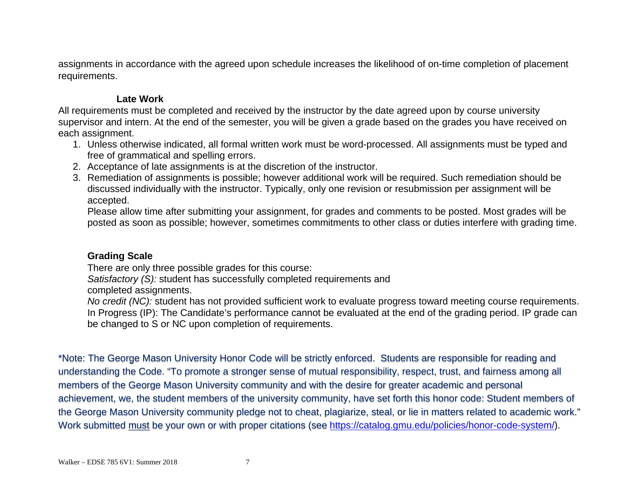assignments in accordance with the agreed upon schedule increases the likelihood of on-time completion of placement requirements.

### **Late Work**

All requirements must be completed and received by the instructor by the date agreed upon by course university supervisor and intern. At the end of the semester, you will be given a grade based on the grades you have received on each assignment.

- 1. Unless otherwise indicated, all formal written work must be word-processed. All assignments must be typed and free of grammatical and spelling errors.
- 2. Acceptance of late assignments is at the discretion of the instructor.
- 3. Remediation of assignments is possible; however additional work will be required. Such remediation should be discussed individually with the instructor. Typically, only one revision or resubmission per assignment will be accepted.

Please allow time after submitting your assignment, for grades and comments to be posted. Most grades will be posted as soon as possible; however, sometimes commitments to other class or duties interfere with grading time.

### **Grading Scale**

There are only three possible grades for this course:

*Satisfactory (S):* student has successfully completed requirements and

completed assignments.

*No credit (NC):* student has not provided sufficient work to evaluate progress toward meeting course requirements. In Progress (IP): The Candidate's performance cannot be evaluated at the end of the grading period. IP grade can be changed to S or NC upon completion of requirements.

\*Note: The George Mason University Honor Code will be strictly enforced. Students are responsible for reading and understanding the Code. "To promote a stronger sense of mutual responsibility, respect, trust, and fairness among all members of the George Mason University community and with the desire for greater academic and personal achievement, we, the student members of the university community, have set forth this honor code: Student members of the George Mason University community pledge not to cheat, plagiarize, steal, or lie in matters related to academic work." Work submitted must be your own or with proper citations (see https://catalog.gmu.edu/policies/honor-code-system/).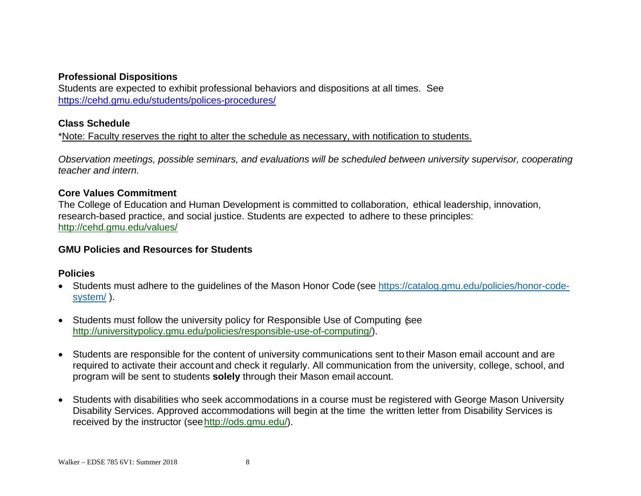### **Professional Dispositions**

Students are expected to exhibit professional behaviors and dispositions at all times. See https://cehd.gmu.edu/students/polices-procedures/

#### **Class Schedule**

\*Note: Faculty reserves the right to alter the schedule as necessary, with notification to students.

*Observation meetings, possible seminars, and evaluations will be scheduled between university supervisor, cooperating teacher and intern.*

#### **Core Values Commitment**

The College of Education and Human Development is committed to collaboration, ethical leadership, innovation, research-based practice, and social justice. Students are expected to adhere to these principles: http://cehd.gmu.edu/values/

#### **GMU Policies and Resources for Students**

#### **Policies**

- Students must adhere to the guidelines of the Mason Honor Code (see https://catalog.gmu.edu/policies/honor-codesystem/).
- Students must follow the university policy for Responsible Use of Computing (see http://universitypolicy.gmu.edu/policies/responsible-use-of-computing/).
- Students are responsible for the content of university communications sent to their Mason email account and are required to activate their account and check it regularly. All communication from the university, college, school, and program will be sent to students **solely** through their Mason email account.
- Students with disabilities who seek accommodations in a course must be registered with George Mason University Disability Services. Approved accommodations will begin at the time the written letter from Disability Services is received by the instructor (see http://ods.gmu.edu/).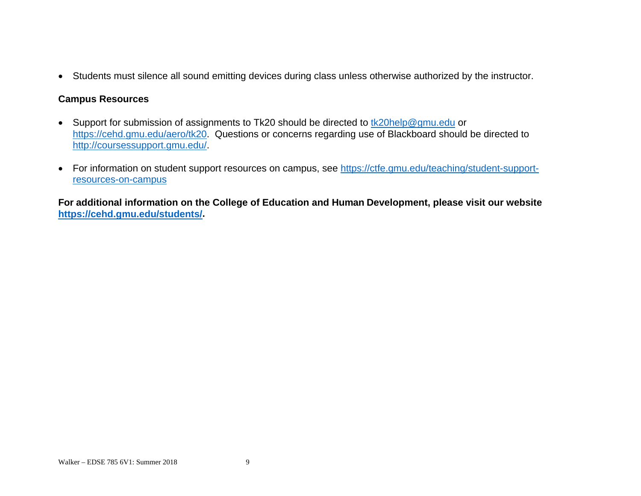Students must silence all sound emitting devices during class unless otherwise authorized by the instructor.

### **Campus Resources**

- Support for submission of assignments to Tk20 should be directed to tk20help@gmu.edu or https://cehd.gmu.edu/aero/tk20. Questions or concerns regarding use of Blackboard should be directed to http://coursessupport.gmu.edu/.
- For information on student support resources on campus, see https://ctfe.gmu.edu/teaching/student-supportresources-on-campus

**For additional information on the College of Education and Human Development, please visit our website https://cehd.gmu.edu/students/.**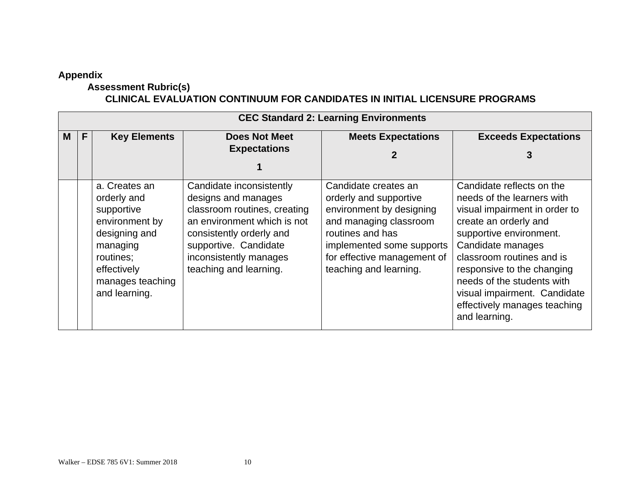### **Appendix**

# **Assessment Rubric(s)**

### **CLINICAL EVALUATION CONTINUUM FOR CANDIDATES IN INITIAL LICENSURE PROGRAMS**

|   | <b>CEC Standard 2: Learning Environments</b> |                                                                                                                                                            |                                                                                                                                                                                                                         |                                                                                                                                                                                                                |                                                                                                                                                                                                                                                                                                                                             |  |  |
|---|----------------------------------------------|------------------------------------------------------------------------------------------------------------------------------------------------------------|-------------------------------------------------------------------------------------------------------------------------------------------------------------------------------------------------------------------------|----------------------------------------------------------------------------------------------------------------------------------------------------------------------------------------------------------------|---------------------------------------------------------------------------------------------------------------------------------------------------------------------------------------------------------------------------------------------------------------------------------------------------------------------------------------------|--|--|
| M | F.                                           | <b>Key Elements</b>                                                                                                                                        | <b>Does Not Meet</b><br><b>Expectations</b>                                                                                                                                                                             | <b>Meets Expectations</b>                                                                                                                                                                                      | <b>Exceeds Expectations</b>                                                                                                                                                                                                                                                                                                                 |  |  |
|   |                                              | a. Creates an<br>orderly and<br>supportive<br>environment by<br>designing and<br>managing<br>routines;<br>effectively<br>manages teaching<br>and learning. | Candidate inconsistently<br>designs and manages<br>classroom routines, creating<br>an environment which is not<br>consistently orderly and<br>supportive. Candidate<br>inconsistently manages<br>teaching and learning. | Candidate creates an<br>orderly and supportive<br>environment by designing<br>and managing classroom<br>routines and has<br>implemented some supports<br>for effective management of<br>teaching and learning. | Candidate reflects on the<br>needs of the learners with<br>visual impairment in order to<br>create an orderly and<br>supportive environment.<br>Candidate manages<br>classroom routines and is<br>responsive to the changing<br>needs of the students with<br>visual impairment. Candidate<br>effectively manages teaching<br>and learning. |  |  |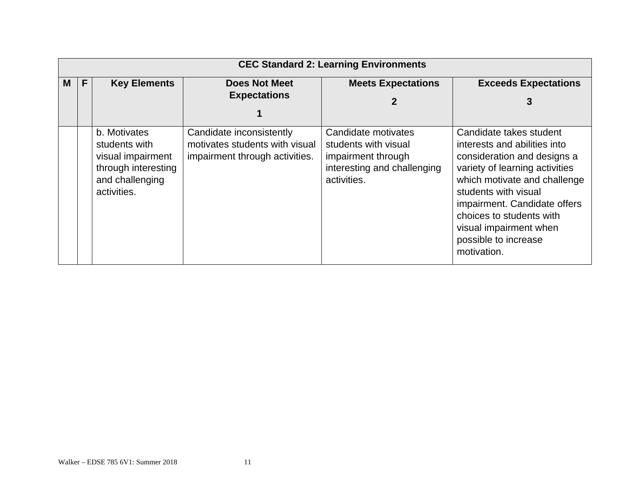|   | <b>CEC Standard 2: Learning Environments</b> |                                                                                                             |                                                                                              |                                                                                                                 |                                                                                                                                                                                                                                                                                                               |  |  |
|---|----------------------------------------------|-------------------------------------------------------------------------------------------------------------|----------------------------------------------------------------------------------------------|-----------------------------------------------------------------------------------------------------------------|---------------------------------------------------------------------------------------------------------------------------------------------------------------------------------------------------------------------------------------------------------------------------------------------------------------|--|--|
| М |                                              | <b>Key Elements</b>                                                                                         | <b>Does Not Meet</b><br><b>Expectations</b>                                                  | <b>Meets Expectations</b>                                                                                       | <b>Exceeds Expectations</b><br>3                                                                                                                                                                                                                                                                              |  |  |
|   |                                              | b. Motivates<br>students with<br>visual impairment<br>through interesting<br>and challenging<br>activities. | Candidate inconsistently<br>motivates students with visual<br>impairment through activities. | Candidate motivates<br>students with visual<br>impairment through<br>interesting and challenging<br>activities. | Candidate takes student<br>interests and abilities into<br>consideration and designs a<br>variety of learning activities<br>which motivate and challenge<br>students with visual<br>impairment. Candidate offers<br>choices to students with<br>visual impairment when<br>possible to increase<br>motivation. |  |  |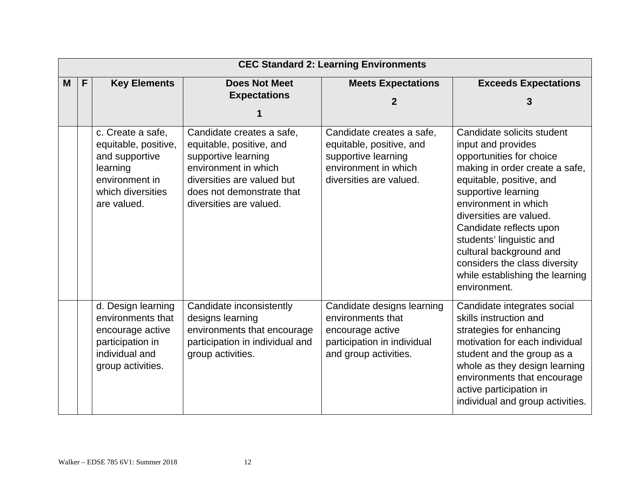|   | <b>CEC Standard 2: Learning Environments</b> |                                                                                                                               |                                                                                                                                                                                            |                                                                                                                                 |                                                                                                                                                                                                                                                                                                                                                                                            |  |  |
|---|----------------------------------------------|-------------------------------------------------------------------------------------------------------------------------------|--------------------------------------------------------------------------------------------------------------------------------------------------------------------------------------------|---------------------------------------------------------------------------------------------------------------------------------|--------------------------------------------------------------------------------------------------------------------------------------------------------------------------------------------------------------------------------------------------------------------------------------------------------------------------------------------------------------------------------------------|--|--|
| M | F                                            | <b>Key Elements</b>                                                                                                           | <b>Does Not Meet</b><br><b>Expectations</b>                                                                                                                                                | <b>Meets Expectations</b><br>2                                                                                                  | <b>Exceeds Expectations</b>                                                                                                                                                                                                                                                                                                                                                                |  |  |
|   |                                              |                                                                                                                               |                                                                                                                                                                                            |                                                                                                                                 |                                                                                                                                                                                                                                                                                                                                                                                            |  |  |
|   |                                              | c. Create a safe,<br>equitable, positive,<br>and supportive<br>learning<br>environment in<br>which diversities<br>are valued. | Candidate creates a safe,<br>equitable, positive, and<br>supportive learning<br>environment in which<br>diversities are valued but<br>does not demonstrate that<br>diversities are valued. | Candidate creates a safe,<br>equitable, positive, and<br>supportive learning<br>environment in which<br>diversities are valued. | Candidate solicits student<br>input and provides<br>opportunities for choice<br>making in order create a safe,<br>equitable, positive, and<br>supportive learning<br>environment in which<br>diversities are valued.<br>Candidate reflects upon<br>students' linguistic and<br>cultural background and<br>considers the class diversity<br>while establishing the learning<br>environment. |  |  |
|   |                                              | d. Design learning<br>environments that<br>encourage active<br>participation in<br>individual and<br>group activities.        | Candidate inconsistently<br>designs learning<br>environments that encourage<br>participation in individual and<br>group activities.                                                        | Candidate designs learning<br>environments that<br>encourage active<br>participation in individual<br>and group activities.     | Candidate integrates social<br>skills instruction and<br>strategies for enhancing<br>motivation for each individual<br>student and the group as a<br>whole as they design learning<br>environments that encourage<br>active participation in<br>individual and group activities.                                                                                                           |  |  |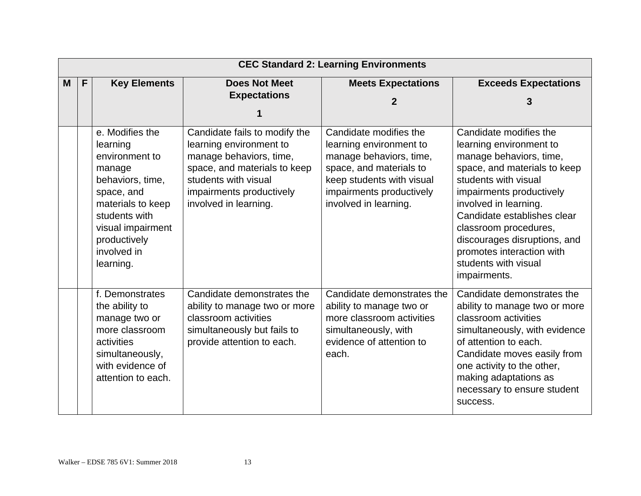|   | <b>CEC Standard 2: Learning Environments</b> |                                                                                                                                                                                                  |                                                                                                                                                                                                  |                                                                                                                                                                                           |                                                                                                                                                                                                                                                                                                                                                        |  |  |
|---|----------------------------------------------|--------------------------------------------------------------------------------------------------------------------------------------------------------------------------------------------------|--------------------------------------------------------------------------------------------------------------------------------------------------------------------------------------------------|-------------------------------------------------------------------------------------------------------------------------------------------------------------------------------------------|--------------------------------------------------------------------------------------------------------------------------------------------------------------------------------------------------------------------------------------------------------------------------------------------------------------------------------------------------------|--|--|
| M | $\mathsf{F}$                                 | <b>Key Elements</b>                                                                                                                                                                              | <b>Does Not Meet</b><br><b>Expectations</b>                                                                                                                                                      | <b>Meets Expectations</b><br>2                                                                                                                                                            | <b>Exceeds Expectations</b>                                                                                                                                                                                                                                                                                                                            |  |  |
|   |                                              |                                                                                                                                                                                                  |                                                                                                                                                                                                  |                                                                                                                                                                                           |                                                                                                                                                                                                                                                                                                                                                        |  |  |
|   |                                              | e. Modifies the<br>learning<br>environment to<br>manage<br>behaviors, time,<br>space, and<br>materials to keep<br>students with<br>visual impairment<br>productively<br>involved in<br>learning. | Candidate fails to modify the<br>learning environment to<br>manage behaviors, time,<br>space, and materials to keep<br>students with visual<br>impairments productively<br>involved in learning. | Candidate modifies the<br>learning environment to<br>manage behaviors, time,<br>space, and materials to<br>keep students with visual<br>impairments productively<br>involved in learning. | Candidate modifies the<br>learning environment to<br>manage behaviors, time,<br>space, and materials to keep<br>students with visual<br>impairments productively<br>involved in learning.<br>Candidate establishes clear<br>classroom procedures,<br>discourages disruptions, and<br>promotes interaction with<br>students with visual<br>impairments. |  |  |
|   |                                              | f. Demonstrates<br>the ability to<br>manage two or<br>more classroom<br>activities<br>simultaneously,<br>with evidence of<br>attention to each.                                                  | Candidate demonstrates the<br>ability to manage two or more<br>classroom activities<br>simultaneously but fails to<br>provide attention to each.                                                 | Candidate demonstrates the<br>ability to manage two or<br>more classroom activities<br>simultaneously, with<br>evidence of attention to<br>each.                                          | Candidate demonstrates the<br>ability to manage two or more<br>classroom activities<br>simultaneously, with evidence<br>of attention to each.<br>Candidate moves easily from<br>one activity to the other,<br>making adaptations as<br>necessary to ensure student<br>success.                                                                         |  |  |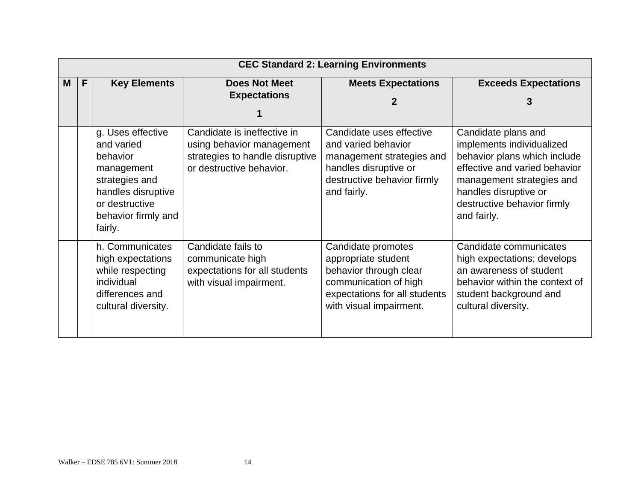|   | <b>CEC Standard 2: Learning Environments</b> |                                                                                                                                                       |                                                                                                                         |                                                                                                                                                          |                                                                                                                                                                                                                       |  |  |
|---|----------------------------------------------|-------------------------------------------------------------------------------------------------------------------------------------------------------|-------------------------------------------------------------------------------------------------------------------------|----------------------------------------------------------------------------------------------------------------------------------------------------------|-----------------------------------------------------------------------------------------------------------------------------------------------------------------------------------------------------------------------|--|--|
| M | F                                            | <b>Key Elements</b>                                                                                                                                   | <b>Does Not Meet</b><br><b>Expectations</b>                                                                             | <b>Meets Expectations</b>                                                                                                                                | <b>Exceeds Expectations</b><br>3                                                                                                                                                                                      |  |  |
|   |                                              | g. Uses effective<br>and varied<br>behavior<br>management<br>strategies and<br>handles disruptive<br>or destructive<br>behavior firmly and<br>fairly. | Candidate is ineffective in<br>using behavior management<br>strategies to handle disruptive<br>or destructive behavior. | Candidate uses effective<br>and varied behavior<br>management strategies and<br>handles disruptive or<br>destructive behavior firmly<br>and fairly.      | Candidate plans and<br>implements individualized<br>behavior plans which include<br>effective and varied behavior<br>management strategies and<br>handles disruptive or<br>destructive behavior firmly<br>and fairly. |  |  |
|   |                                              | h. Communicates<br>high expectations<br>while respecting<br>individual<br>differences and<br>cultural diversity.                                      | Candidate fails to<br>communicate high<br>expectations for all students<br>with visual impairment.                      | Candidate promotes<br>appropriate student<br>behavior through clear<br>communication of high<br>expectations for all students<br>with visual impairment. | Candidate communicates<br>high expectations; develops<br>an awareness of student<br>behavior within the context of<br>student background and<br>cultural diversity.                                                   |  |  |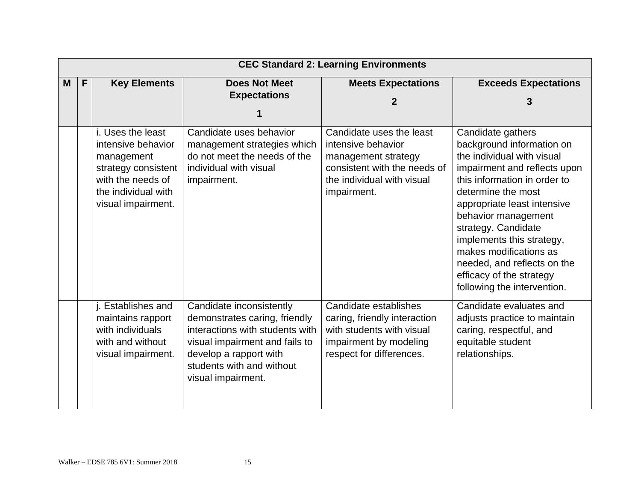|   | <b>CEC Standard 2: Learning Environments</b> |                                                                                                                                                |                                                                                                                                                                                                             |                                                                                                                                                    |                                                                                                                                                                                                                                                                                                                                                                                                  |  |  |
|---|----------------------------------------------|------------------------------------------------------------------------------------------------------------------------------------------------|-------------------------------------------------------------------------------------------------------------------------------------------------------------------------------------------------------------|----------------------------------------------------------------------------------------------------------------------------------------------------|--------------------------------------------------------------------------------------------------------------------------------------------------------------------------------------------------------------------------------------------------------------------------------------------------------------------------------------------------------------------------------------------------|--|--|
| M | $\mathsf{F}$                                 | <b>Key Elements</b>                                                                                                                            | <b>Does Not Meet</b><br><b>Expectations</b>                                                                                                                                                                 | <b>Meets Expectations</b><br>2                                                                                                                     | <b>Exceeds Expectations</b><br>3                                                                                                                                                                                                                                                                                                                                                                 |  |  |
|   |                                              | i. Uses the least<br>intensive behavior<br>management<br>strategy consistent<br>with the needs of<br>the individual with<br>visual impairment. | Candidate uses behavior<br>management strategies which<br>do not meet the needs of the<br>individual with visual<br>impairment.                                                                             | Candidate uses the least<br>intensive behavior<br>management strategy<br>consistent with the needs of<br>the individual with visual<br>impairment. | Candidate gathers<br>background information on<br>the individual with visual<br>impairment and reflects upon<br>this information in order to<br>determine the most<br>appropriate least intensive<br>behavior management<br>strategy. Candidate<br>implements this strategy,<br>makes modifications as<br>needed, and reflects on the<br>efficacy of the strategy<br>following the intervention. |  |  |
|   |                                              | j. Establishes and<br>maintains rapport<br>with individuals<br>with and without<br>visual impairment.                                          | Candidate inconsistently<br>demonstrates caring, friendly<br>interactions with students with<br>visual impairment and fails to<br>develop a rapport with<br>students with and without<br>visual impairment. | Candidate establishes<br>caring, friendly interaction<br>with students with visual<br>impairment by modeling<br>respect for differences.           | Candidate evaluates and<br>adjusts practice to maintain<br>caring, respectful, and<br>equitable student<br>relationships.                                                                                                                                                                                                                                                                        |  |  |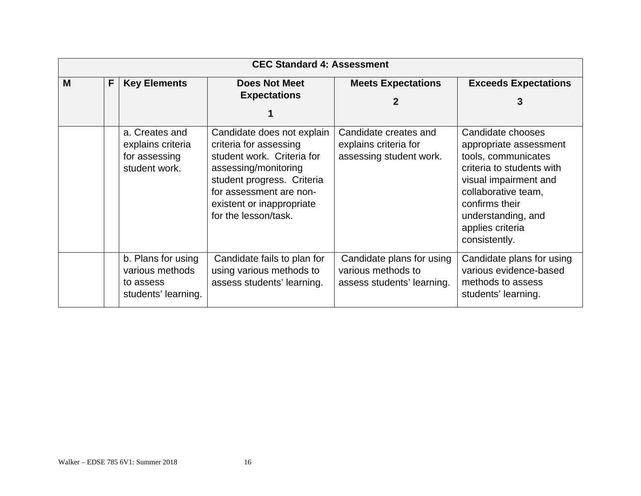| <b>CEC Standard 4: Assessment</b> |   |                                                                           |                                                                                                                                                                                                                          |                                                                               |                                                                                                                                                                                                                              |
|-----------------------------------|---|---------------------------------------------------------------------------|--------------------------------------------------------------------------------------------------------------------------------------------------------------------------------------------------------------------------|-------------------------------------------------------------------------------|------------------------------------------------------------------------------------------------------------------------------------------------------------------------------------------------------------------------------|
| M                                 | F | <b>Key Elements</b>                                                       | <b>Does Not Meet</b><br><b>Expectations</b>                                                                                                                                                                              | <b>Meets Expectations</b>                                                     | <b>Exceeds Expectations</b>                                                                                                                                                                                                  |
|                                   |   | a. Creates and<br>explains criteria<br>for assessing<br>student work.     | Candidate does not explain<br>criteria for assessing<br>student work. Criteria for<br>assessing/monitoring<br>student progress. Criteria<br>for assessment are non-<br>existent or inappropriate<br>for the lesson/task. | Candidate creates and<br>explains criteria for<br>assessing student work.     | Candidate chooses<br>appropriate assessment<br>tools, communicates<br>criteria to students with<br>visual impairment and<br>collaborative team,<br>confirms their<br>understanding, and<br>applies criteria<br>consistently. |
|                                   |   | b. Plans for using<br>various methods<br>to assess<br>students' learning. | Candidate fails to plan for<br>using various methods to<br>assess students' learning.                                                                                                                                    | Candidate plans for using<br>various methods to<br>assess students' learning. | Candidate plans for using<br>various evidence-based<br>methods to assess<br>students' learning.                                                                                                                              |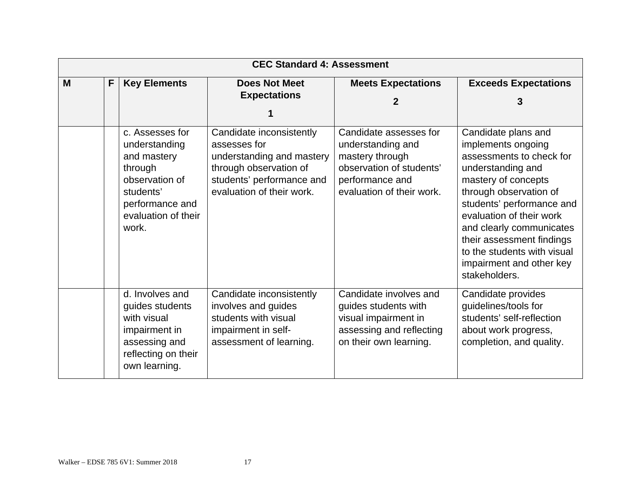| <b>CEC Standard 4: Assessment</b> |   |                                                                                                                                              |                                                                                                                                                           |                                                                                                                                            |                                                                                                                                                                                                                                                                                                                                           |
|-----------------------------------|---|----------------------------------------------------------------------------------------------------------------------------------------------|-----------------------------------------------------------------------------------------------------------------------------------------------------------|--------------------------------------------------------------------------------------------------------------------------------------------|-------------------------------------------------------------------------------------------------------------------------------------------------------------------------------------------------------------------------------------------------------------------------------------------------------------------------------------------|
| M                                 | F | <b>Key Elements</b>                                                                                                                          | <b>Does Not Meet</b><br><b>Expectations</b>                                                                                                               | <b>Meets Expectations</b><br>2                                                                                                             | <b>Exceeds Expectations</b><br>3                                                                                                                                                                                                                                                                                                          |
|                                   |   | c. Assesses for<br>understanding<br>and mastery<br>through<br>observation of<br>students'<br>performance and<br>evaluation of their<br>work. | Candidate inconsistently<br>assesses for<br>understanding and mastery<br>through observation of<br>students' performance and<br>evaluation of their work. | Candidate assesses for<br>understanding and<br>mastery through<br>observation of students'<br>performance and<br>evaluation of their work. | Candidate plans and<br>implements ongoing<br>assessments to check for<br>understanding and<br>mastery of concepts<br>through observation of<br>students' performance and<br>evaluation of their work<br>and clearly communicates<br>their assessment findings<br>to the students with visual<br>impairment and other key<br>stakeholders. |
|                                   |   | d. Involves and<br>guides students<br>with visual<br>impairment in<br>assessing and<br>reflecting on their<br>own learning.                  | Candidate inconsistently<br>involves and guides<br>students with visual<br>impairment in self-<br>assessment of learning.                                 | Candidate involves and<br>guides students with<br>visual impairment in<br>assessing and reflecting<br>on their own learning.               | Candidate provides<br>guidelines/tools for<br>students' self-reflection<br>about work progress,<br>completion, and quality.                                                                                                                                                                                                               |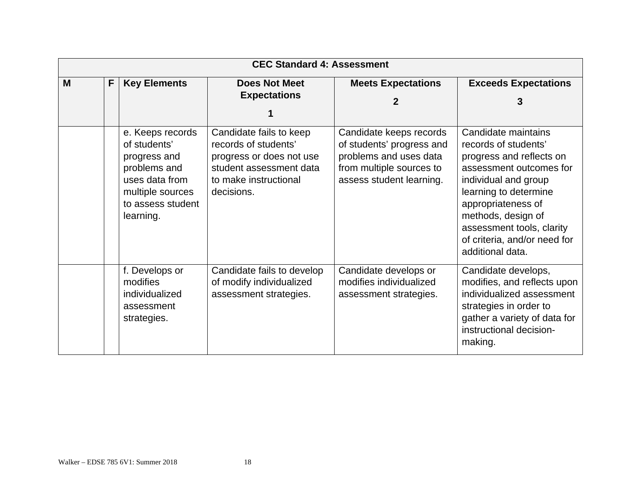|   | <b>CEC Standard 4: Assessment</b> |                                                                                                                                          |                                                                                                                                               |                                                                                                                                        |                                                                                                                                                                                                                                                                                  |  |
|---|-----------------------------------|------------------------------------------------------------------------------------------------------------------------------------------|-----------------------------------------------------------------------------------------------------------------------------------------------|----------------------------------------------------------------------------------------------------------------------------------------|----------------------------------------------------------------------------------------------------------------------------------------------------------------------------------------------------------------------------------------------------------------------------------|--|
| M | F                                 | <b>Key Elements</b>                                                                                                                      | <b>Does Not Meet</b><br><b>Expectations</b>                                                                                                   | <b>Meets Expectations</b>                                                                                                              | <b>Exceeds Expectations</b>                                                                                                                                                                                                                                                      |  |
|   |                                   |                                                                                                                                          |                                                                                                                                               |                                                                                                                                        |                                                                                                                                                                                                                                                                                  |  |
|   |                                   | e. Keeps records<br>of students'<br>progress and<br>problems and<br>uses data from<br>multiple sources<br>to assess student<br>learning. | Candidate fails to keep<br>records of students'<br>progress or does not use<br>student assessment data<br>to make instructional<br>decisions. | Candidate keeps records<br>of students' progress and<br>problems and uses data<br>from multiple sources to<br>assess student learning. | Candidate maintains<br>records of students'<br>progress and reflects on<br>assessment outcomes for<br>individual and group<br>learning to determine<br>appropriateness of<br>methods, design of<br>assessment tools, clarity<br>of criteria, and/or need for<br>additional data. |  |
|   |                                   | f. Develops or<br>modifies<br>individualized<br>assessment<br>strategies.                                                                | Candidate fails to develop<br>of modify individualized<br>assessment strategies.                                                              | Candidate develops or<br>modifies individualized<br>assessment strategies.                                                             | Candidate develops,<br>modifies, and reflects upon<br>individualized assessment<br>strategies in order to<br>gather a variety of data for<br>instructional decision-<br>making.                                                                                                  |  |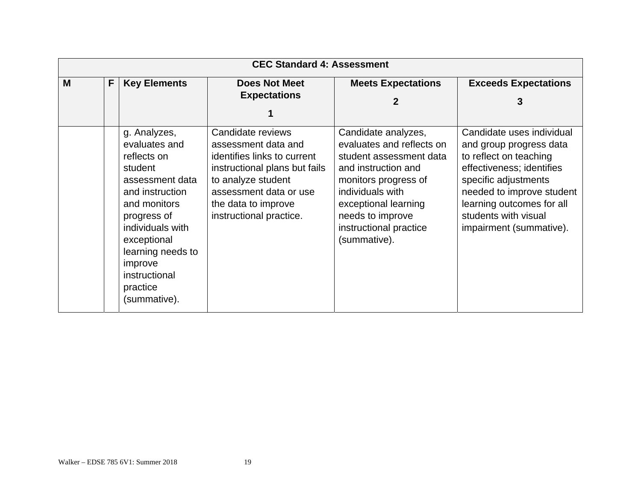|   | <b>CEC Standard 4: Assessment</b> |                                                                                                                                                                                                                  |                                                                                                                                                                                                            |                                                                                                                                                                                                                                      |                                                                                                                                                                                                                                                  |  |  |
|---|-----------------------------------|------------------------------------------------------------------------------------------------------------------------------------------------------------------------------------------------------------------|------------------------------------------------------------------------------------------------------------------------------------------------------------------------------------------------------------|--------------------------------------------------------------------------------------------------------------------------------------------------------------------------------------------------------------------------------------|--------------------------------------------------------------------------------------------------------------------------------------------------------------------------------------------------------------------------------------------------|--|--|
| M | F                                 | <b>Key Elements</b>                                                                                                                                                                                              | <b>Does Not Meet</b><br><b>Expectations</b>                                                                                                                                                                | <b>Meets Expectations</b><br>2                                                                                                                                                                                                       | <b>Exceeds Expectations</b><br>3                                                                                                                                                                                                                 |  |  |
|   |                                   | g. Analyzes,<br>evaluates and<br>reflects on<br>student<br>assessment data<br>and instruction<br>and monitors<br>progress of<br>individuals with<br>exceptional<br>learning needs to<br>improve<br>instructional | Candidate reviews<br>assessment data and<br>identifies links to current<br>instructional plans but fails<br>to analyze student<br>assessment data or use<br>the data to improve<br>instructional practice. | Candidate analyzes,<br>evaluates and reflects on<br>student assessment data<br>and instruction and<br>monitors progress of<br>individuals with<br>exceptional learning<br>needs to improve<br>instructional practice<br>(summative). | Candidate uses individual<br>and group progress data<br>to reflect on teaching<br>effectiveness; identifies<br>specific adjustments<br>needed to improve student<br>learning outcomes for all<br>students with visual<br>impairment (summative). |  |  |
|   |                                   | practice<br>(summative).                                                                                                                                                                                         |                                                                                                                                                                                                            |                                                                                                                                                                                                                                      |                                                                                                                                                                                                                                                  |  |  |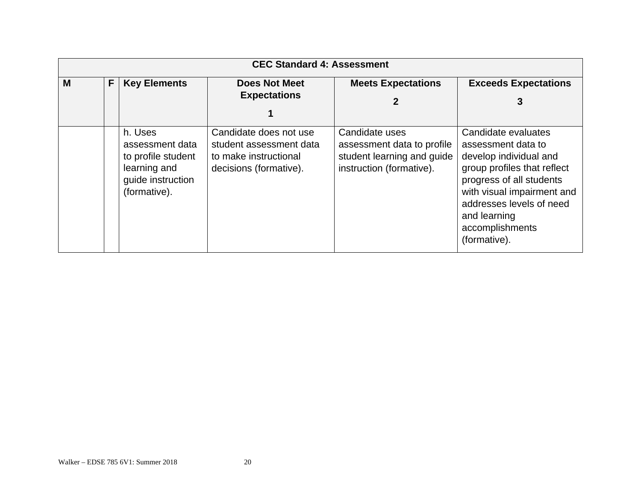|   | <b>CEC Standard 4: Assessment</b> |                                                                                                       |                                                                                                      |                                                                                                        |                                                                                                                                                                                                                                             |  |  |  |
|---|-----------------------------------|-------------------------------------------------------------------------------------------------------|------------------------------------------------------------------------------------------------------|--------------------------------------------------------------------------------------------------------|---------------------------------------------------------------------------------------------------------------------------------------------------------------------------------------------------------------------------------------------|--|--|--|
| M | F                                 | <b>Key Elements</b>                                                                                   | <b>Does Not Meet</b><br><b>Expectations</b>                                                          | <b>Meets Expectations</b><br>2                                                                         | <b>Exceeds Expectations</b><br>3                                                                                                                                                                                                            |  |  |  |
|   |                                   | h. Uses<br>assessment data<br>to profile student<br>learning and<br>guide instruction<br>(formative). | Candidate does not use<br>student assessment data<br>to make instructional<br>decisions (formative). | Candidate uses<br>assessment data to profile<br>student learning and guide<br>instruction (formative). | Candidate evaluates<br>assessment data to<br>develop individual and<br>group profiles that reflect<br>progress of all students<br>with visual impairment and<br>addresses levels of need<br>and learning<br>accomplishments<br>(formative). |  |  |  |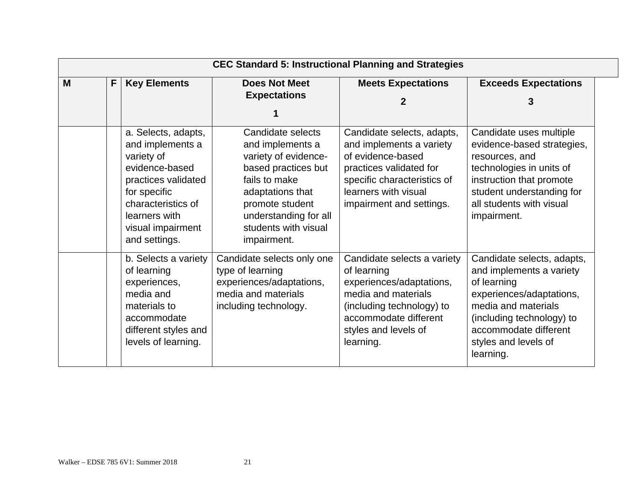|   | <b>CEC Standard 5: Instructional Planning and Strategies</b> |                                                                                                                                                                                             |                                                                                                                                                                                                              |                                                                                                                                                                                           |                                                                                                                                                                                                                     |  |
|---|--------------------------------------------------------------|---------------------------------------------------------------------------------------------------------------------------------------------------------------------------------------------|--------------------------------------------------------------------------------------------------------------------------------------------------------------------------------------------------------------|-------------------------------------------------------------------------------------------------------------------------------------------------------------------------------------------|---------------------------------------------------------------------------------------------------------------------------------------------------------------------------------------------------------------------|--|
| M | F                                                            | <b>Key Elements</b>                                                                                                                                                                         | <b>Does Not Meet</b><br><b>Expectations</b>                                                                                                                                                                  | <b>Meets Expectations</b><br>2                                                                                                                                                            | <b>Exceeds Expectations</b><br>3                                                                                                                                                                                    |  |
|   |                                                              | a. Selects, adapts,<br>and implements a<br>variety of<br>evidence-based<br>practices validated<br>for specific<br>characteristics of<br>learners with<br>visual impairment<br>and settings. | Candidate selects<br>and implements a<br>variety of evidence-<br>based practices but<br>fails to make<br>adaptations that<br>promote student<br>understanding for all<br>students with visual<br>impairment. | Candidate selects, adapts,<br>and implements a variety<br>of evidence-based<br>practices validated for<br>specific characteristics of<br>learners with visual<br>impairment and settings. | Candidate uses multiple<br>evidence-based strategies,<br>resources, and<br>technologies in units of<br>instruction that promote<br>student understanding for<br>all students with visual<br>impairment.             |  |
|   |                                                              | b. Selects a variety<br>of learning<br>experiences,<br>media and<br>materials to<br>accommodate<br>different styles and<br>levels of learning.                                              | Candidate selects only one<br>type of learning<br>experiences/adaptations,<br>media and materials<br>including technology.                                                                                   | Candidate selects a variety<br>of learning<br>experiences/adaptations,<br>media and materials<br>(including technology) to<br>accommodate different<br>styles and levels of<br>learning.  | Candidate selects, adapts,<br>and implements a variety<br>of learning<br>experiences/adaptations,<br>media and materials<br>(including technology) to<br>accommodate different<br>styles and levels of<br>learning. |  |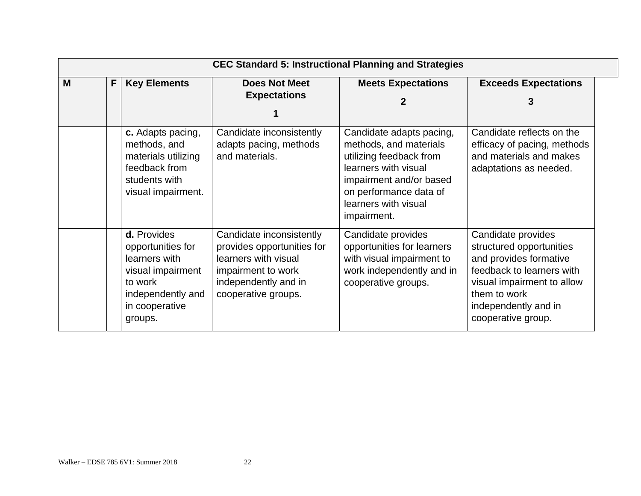|   | <b>CEC Standard 5: Instructional Planning and Strategies</b> |                                                                                                                                     |                                                                                                                                                     |                                                                                                                                                                                                   |                                                                                                                                                                                                   |  |  |  |
|---|--------------------------------------------------------------|-------------------------------------------------------------------------------------------------------------------------------------|-----------------------------------------------------------------------------------------------------------------------------------------------------|---------------------------------------------------------------------------------------------------------------------------------------------------------------------------------------------------|---------------------------------------------------------------------------------------------------------------------------------------------------------------------------------------------------|--|--|--|
| M | F                                                            | <b>Key Elements</b>                                                                                                                 | <b>Does Not Meet</b><br><b>Expectations</b>                                                                                                         | <b>Meets Expectations</b><br>2                                                                                                                                                                    | <b>Exceeds Expectations</b><br>3                                                                                                                                                                  |  |  |  |
|   |                                                              | c. Adapts pacing,<br>methods, and<br>materials utilizing<br>feedback from<br>students with<br>visual impairment.                    | Candidate inconsistently<br>adapts pacing, methods<br>and materials.                                                                                | Candidate adapts pacing,<br>methods, and materials<br>utilizing feedback from<br>learners with visual<br>impairment and/or based<br>on performance data of<br>learners with visual<br>impairment. | Candidate reflects on the<br>efficacy of pacing, methods<br>and materials and makes<br>adaptations as needed.                                                                                     |  |  |  |
|   |                                                              | d. Provides<br>opportunities for<br>learners with<br>visual impairment<br>to work<br>independently and<br>in cooperative<br>groups. | Candidate inconsistently<br>provides opportunities for<br>learners with visual<br>impairment to work<br>independently and in<br>cooperative groups. | Candidate provides<br>opportunities for learners<br>with visual impairment to<br>work independently and in<br>cooperative groups.                                                                 | Candidate provides<br>structured opportunities<br>and provides formative<br>feedback to learners with<br>visual impairment to allow<br>them to work<br>independently and in<br>cooperative group. |  |  |  |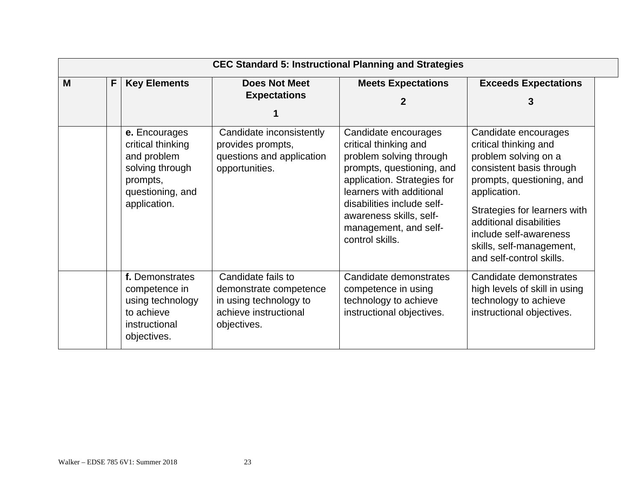|   | <b>CEC Standard 5: Instructional Planning and Strategies</b> |                                                                                                                      |                                                                                                                |                                                                                                                                                                                                                                                                       |                                                                                                                                                                                                                                                                                             |  |  |
|---|--------------------------------------------------------------|----------------------------------------------------------------------------------------------------------------------|----------------------------------------------------------------------------------------------------------------|-----------------------------------------------------------------------------------------------------------------------------------------------------------------------------------------------------------------------------------------------------------------------|---------------------------------------------------------------------------------------------------------------------------------------------------------------------------------------------------------------------------------------------------------------------------------------------|--|--|
| M | F                                                            | <b>Key Elements</b>                                                                                                  | <b>Does Not Meet</b><br><b>Expectations</b>                                                                    | <b>Meets Expectations</b>                                                                                                                                                                                                                                             | <b>Exceeds Expectations</b>                                                                                                                                                                                                                                                                 |  |  |
|   |                                                              |                                                                                                                      |                                                                                                                | 2                                                                                                                                                                                                                                                                     | 3                                                                                                                                                                                                                                                                                           |  |  |
|   |                                                              | e. Encourages<br>critical thinking<br>and problem<br>solving through<br>prompts,<br>questioning, and<br>application. | Candidate inconsistently<br>provides prompts,<br>questions and application<br>opportunities.                   | Candidate encourages<br>critical thinking and<br>problem solving through<br>prompts, questioning, and<br>application. Strategies for<br>learners with additional<br>disabilities include self-<br>awareness skills, self-<br>management, and self-<br>control skills. | Candidate encourages<br>critical thinking and<br>problem solving on a<br>consistent basis through<br>prompts, questioning, and<br>application.<br>Strategies for learners with<br>additional disabilities<br>include self-awareness<br>skills, self-management,<br>and self-control skills. |  |  |
|   |                                                              | f. Demonstrates<br>competence in<br>using technology<br>to achieve<br>instructional<br>objectives.                   | Candidate fails to<br>demonstrate competence<br>in using technology to<br>achieve instructional<br>objectives. | Candidate demonstrates<br>competence in using<br>technology to achieve<br>instructional objectives.                                                                                                                                                                   | Candidate demonstrates<br>high levels of skill in using<br>technology to achieve<br>instructional objectives.                                                                                                                                                                               |  |  |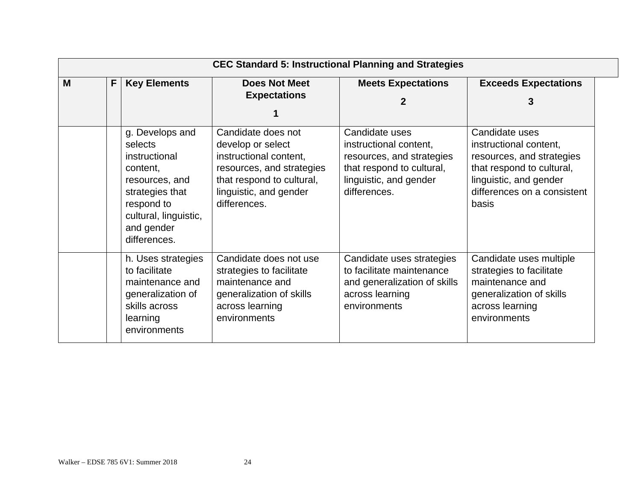|   | <b>CEC Standard 5: Instructional Planning and Strategies</b> |                                                                                                                                                                   |                                                                                                                                                                       |                                                                                                                                              |                                                                                                                                                                      |  |  |  |
|---|--------------------------------------------------------------|-------------------------------------------------------------------------------------------------------------------------------------------------------------------|-----------------------------------------------------------------------------------------------------------------------------------------------------------------------|----------------------------------------------------------------------------------------------------------------------------------------------|----------------------------------------------------------------------------------------------------------------------------------------------------------------------|--|--|--|
| M | F                                                            | <b>Key Elements</b>                                                                                                                                               | <b>Does Not Meet</b><br><b>Expectations</b>                                                                                                                           | <b>Meets Expectations</b>                                                                                                                    | <b>Exceeds Expectations</b>                                                                                                                                          |  |  |  |
|   |                                                              | g. Develops and<br>selects<br>instructional<br>content,<br>resources, and<br>strategies that<br>respond to<br>cultural, linguistic,<br>and gender<br>differences. | Candidate does not<br>develop or select<br>instructional content,<br>resources, and strategies<br>that respond to cultural,<br>linguistic, and gender<br>differences. | Candidate uses<br>instructional content,<br>resources, and strategies<br>that respond to cultural,<br>linguistic, and gender<br>differences. | Candidate uses<br>instructional content,<br>resources, and strategies<br>that respond to cultural,<br>linguistic, and gender<br>differences on a consistent<br>basis |  |  |  |
|   |                                                              | h. Uses strategies<br>to facilitate<br>maintenance and<br>generalization of<br>skills across<br>learning<br>environments                                          | Candidate does not use<br>strategies to facilitate<br>maintenance and<br>generalization of skills<br>across learning<br>environments                                  | Candidate uses strategies<br>to facilitate maintenance<br>and generalization of skills<br>across learning<br>environments                    | Candidate uses multiple<br>strategies to facilitate<br>maintenance and<br>generalization of skills<br>across learning<br>environments                                |  |  |  |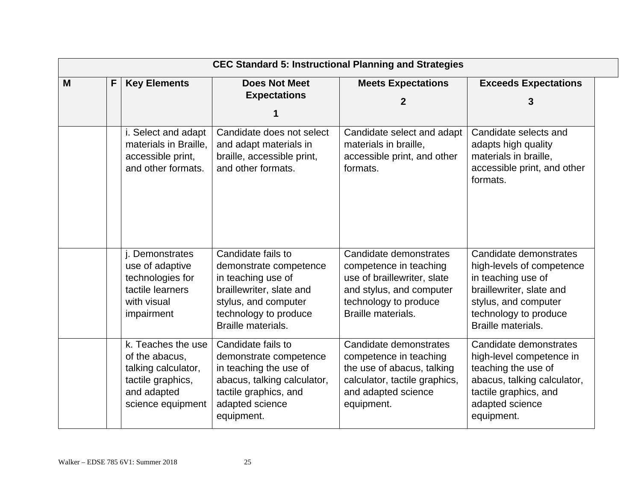|   | <b>CEC Standard 5: Instructional Planning and Strategies</b> |                                                                                                                      |                                                                                                                                                                       |                                                                                                                                                            |                                                                                                                                                                              |  |  |
|---|--------------------------------------------------------------|----------------------------------------------------------------------------------------------------------------------|-----------------------------------------------------------------------------------------------------------------------------------------------------------------------|------------------------------------------------------------------------------------------------------------------------------------------------------------|------------------------------------------------------------------------------------------------------------------------------------------------------------------------------|--|--|
| M | F                                                            | <b>Key Elements</b>                                                                                                  | <b>Does Not Meet</b><br><b>Expectations</b>                                                                                                                           | <b>Meets Expectations</b><br>2                                                                                                                             | <b>Exceeds Expectations</b><br>3                                                                                                                                             |  |  |
|   |                                                              | i. Select and adapt<br>materials in Braille,<br>accessible print,<br>and other formats.                              | Candidate does not select<br>and adapt materials in<br>braille, accessible print,<br>and other formats.                                                               | Candidate select and adapt<br>materials in braille,<br>accessible print, and other<br>formats.                                                             | Candidate selects and<br>adapts high quality<br>materials in braille,<br>accessible print, and other<br>formats.                                                             |  |  |
|   |                                                              | j. Demonstrates<br>use of adaptive<br>technologies for<br>tactile learners<br>with visual<br>impairment              | Candidate fails to<br>demonstrate competence<br>in teaching use of<br>braillewriter, slate and<br>stylus, and computer<br>technology to produce<br>Braille materials. | Candidate demonstrates<br>competence in teaching<br>use of braillewriter, slate<br>and stylus, and computer<br>technology to produce<br>Braille materials. | Candidate demonstrates<br>high-levels of competence<br>in teaching use of<br>braillewriter, slate and<br>stylus, and computer<br>technology to produce<br>Braille materials. |  |  |
|   |                                                              | k. Teaches the use<br>of the abacus,<br>talking calculator,<br>tactile graphics,<br>and adapted<br>science equipment | Candidate fails to<br>demonstrate competence<br>in teaching the use of<br>abacus, talking calculator,<br>tactile graphics, and<br>adapted science<br>equipment.       | Candidate demonstrates<br>competence in teaching<br>the use of abacus, talking<br>calculator, tactile graphics,<br>and adapted science<br>equipment.       | Candidate demonstrates<br>high-level competence in<br>teaching the use of<br>abacus, talking calculator,<br>tactile graphics, and<br>adapted science<br>equipment.           |  |  |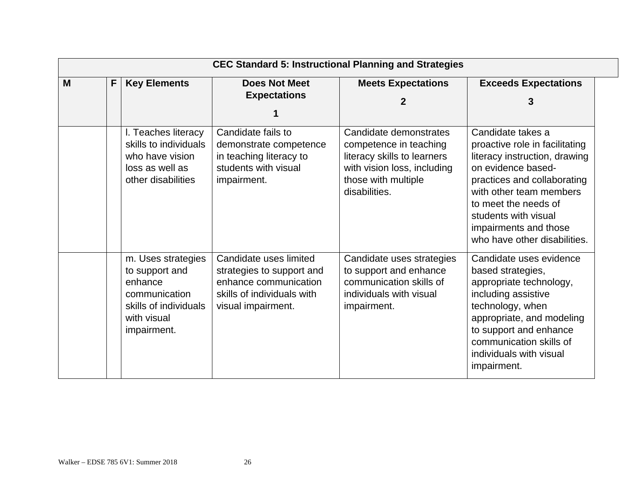|   | <b>CEC Standard 5: Instructional Planning and Strategies</b> |                                                                                                                         |                                                                                                                                  |                                                                                                                                                        |                                                                                                                                                                                                                                                                               |  |  |
|---|--------------------------------------------------------------|-------------------------------------------------------------------------------------------------------------------------|----------------------------------------------------------------------------------------------------------------------------------|--------------------------------------------------------------------------------------------------------------------------------------------------------|-------------------------------------------------------------------------------------------------------------------------------------------------------------------------------------------------------------------------------------------------------------------------------|--|--|
| M | F                                                            | <b>Key Elements</b>                                                                                                     | <b>Does Not Meet</b><br><b>Expectations</b>                                                                                      | <b>Meets Expectations</b><br>2                                                                                                                         | <b>Exceeds Expectations</b><br>3                                                                                                                                                                                                                                              |  |  |
|   |                                                              | I. Teaches literacy<br>skills to individuals<br>who have vision<br>loss as well as<br>other disabilities                | Candidate fails to<br>demonstrate competence<br>in teaching literacy to<br>students with visual<br>impairment.                   | Candidate demonstrates<br>competence in teaching<br>literacy skills to learners<br>with vision loss, including<br>those with multiple<br>disabilities. | Candidate takes a<br>proactive role in facilitating<br>literacy instruction, drawing<br>on evidence based-<br>practices and collaborating<br>with other team members<br>to meet the needs of<br>students with visual<br>impairments and those<br>who have other disabilities. |  |  |
|   |                                                              | m. Uses strategies<br>to support and<br>enhance<br>communication<br>skills of individuals<br>with visual<br>impairment. | Candidate uses limited<br>strategies to support and<br>enhance communication<br>skills of individuals with<br>visual impairment. | Candidate uses strategies<br>to support and enhance<br>communication skills of<br>individuals with visual<br>impairment.                               | Candidate uses evidence<br>based strategies,<br>appropriate technology,<br>including assistive<br>technology, when<br>appropriate, and modeling<br>to support and enhance<br>communication skills of<br>individuals with visual<br>impairment.                                |  |  |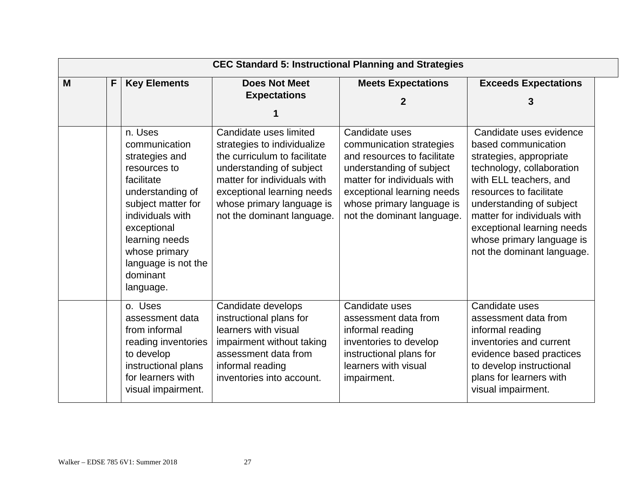|   | <b>CEC Standard 5: Instructional Planning and Strategies</b> |                                                                                                                                                                                                                                          |                                                                                                                                                                                                                                           |                                                                                                                                                                                                                               |                                                                                                                                                                                                                                                                                                                 |  |  |
|---|--------------------------------------------------------------|------------------------------------------------------------------------------------------------------------------------------------------------------------------------------------------------------------------------------------------|-------------------------------------------------------------------------------------------------------------------------------------------------------------------------------------------------------------------------------------------|-------------------------------------------------------------------------------------------------------------------------------------------------------------------------------------------------------------------------------|-----------------------------------------------------------------------------------------------------------------------------------------------------------------------------------------------------------------------------------------------------------------------------------------------------------------|--|--|
| M | F                                                            | <b>Key Elements</b>                                                                                                                                                                                                                      | <b>Does Not Meet</b><br><b>Expectations</b>                                                                                                                                                                                               | <b>Meets Expectations</b><br>2                                                                                                                                                                                                | <b>Exceeds Expectations</b><br>3                                                                                                                                                                                                                                                                                |  |  |
|   |                                                              | n. Uses<br>communication<br>strategies and<br>resources to<br>facilitate<br>understanding of<br>subject matter for<br>individuals with<br>exceptional<br>learning needs<br>whose primary<br>language is not the<br>dominant<br>language. | Candidate uses limited<br>strategies to individualize<br>the curriculum to facilitate<br>understanding of subject<br>matter for individuals with<br>exceptional learning needs<br>whose primary language is<br>not the dominant language. | Candidate uses<br>communication strategies<br>and resources to facilitate<br>understanding of subject<br>matter for individuals with<br>exceptional learning needs<br>whose primary language is<br>not the dominant language. | Candidate uses evidence<br>based communication<br>strategies, appropriate<br>technology, collaboration<br>with ELL teachers, and<br>resources to facilitate<br>understanding of subject<br>matter for individuals with<br>exceptional learning needs<br>whose primary language is<br>not the dominant language. |  |  |
|   |                                                              | o. Uses<br>assessment data<br>from informal<br>reading inventories<br>to develop<br>instructional plans<br>for learners with<br>visual impairment.                                                                                       | Candidate develops<br>instructional plans for<br>learners with visual<br>impairment without taking<br>assessment data from<br>informal reading<br>inventories into account.                                                               | Candidate uses<br>assessment data from<br>informal reading<br>inventories to develop<br>instructional plans for<br>learners with visual<br>impairment.                                                                        | Candidate uses<br>assessment data from<br>informal reading<br>inventories and current<br>evidence based practices<br>to develop instructional<br>plans for learners with<br>visual impairment.                                                                                                                  |  |  |

#### Walker – EDSE 785 6V1: Summer 2018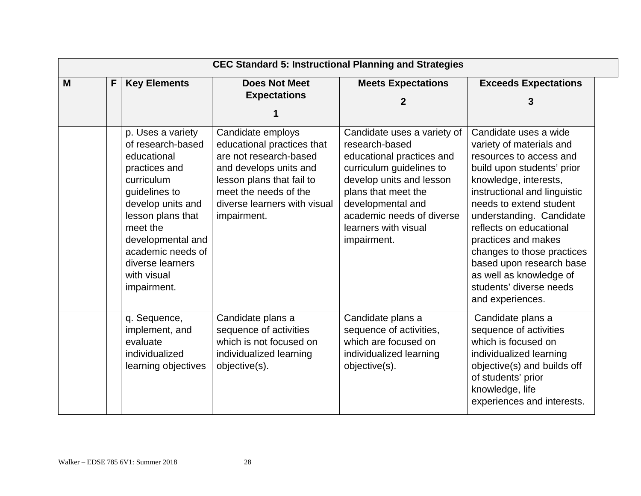|   | <b>CEC Standard 5: Instructional Planning and Strategies</b> |                                                                                                                                                                                                                                                         |                                                                                                                                                                                                          |                                                                                                                                                                                                                                                    |                                                                                                                                                                                                                                                                                                                                                                                                                  |  |  |
|---|--------------------------------------------------------------|---------------------------------------------------------------------------------------------------------------------------------------------------------------------------------------------------------------------------------------------------------|----------------------------------------------------------------------------------------------------------------------------------------------------------------------------------------------------------|----------------------------------------------------------------------------------------------------------------------------------------------------------------------------------------------------------------------------------------------------|------------------------------------------------------------------------------------------------------------------------------------------------------------------------------------------------------------------------------------------------------------------------------------------------------------------------------------------------------------------------------------------------------------------|--|--|
| M | F                                                            | <b>Key Elements</b>                                                                                                                                                                                                                                     | <b>Does Not Meet</b><br><b>Expectations</b>                                                                                                                                                              | <b>Meets Expectations</b><br>2                                                                                                                                                                                                                     | <b>Exceeds Expectations</b><br>3                                                                                                                                                                                                                                                                                                                                                                                 |  |  |
|   |                                                              | p. Uses a variety<br>of research-based<br>educational<br>practices and<br>curriculum<br>guidelines to<br>develop units and<br>lesson plans that<br>meet the<br>developmental and<br>academic needs of<br>diverse learners<br>with visual<br>impairment. | Candidate employs<br>educational practices that<br>are not research-based<br>and develops units and<br>lesson plans that fail to<br>meet the needs of the<br>diverse learners with visual<br>impairment. | Candidate uses a variety of<br>research-based<br>educational practices and<br>curriculum guidelines to<br>develop units and lesson<br>plans that meet the<br>developmental and<br>academic needs of diverse<br>learners with visual<br>impairment. | Candidate uses a wide<br>variety of materials and<br>resources to access and<br>build upon students' prior<br>knowledge, interests,<br>instructional and linguistic<br>needs to extend student<br>understanding. Candidate<br>reflects on educational<br>practices and makes<br>changes to those practices<br>based upon research base<br>as well as knowledge of<br>students' diverse needs<br>and experiences. |  |  |
|   |                                                              | q. Sequence,<br>implement, and<br>evaluate<br>individualized<br>learning objectives                                                                                                                                                                     | Candidate plans a<br>sequence of activities<br>which is not focused on<br>individualized learning<br>objective(s).                                                                                       | Candidate plans a<br>sequence of activities,<br>which are focused on<br>individualized learning<br>objective(s).                                                                                                                                   | Candidate plans a<br>sequence of activities<br>which is focused on<br>individualized learning<br>objective(s) and builds off<br>of students' prior<br>knowledge, life<br>experiences and interests.                                                                                                                                                                                                              |  |  |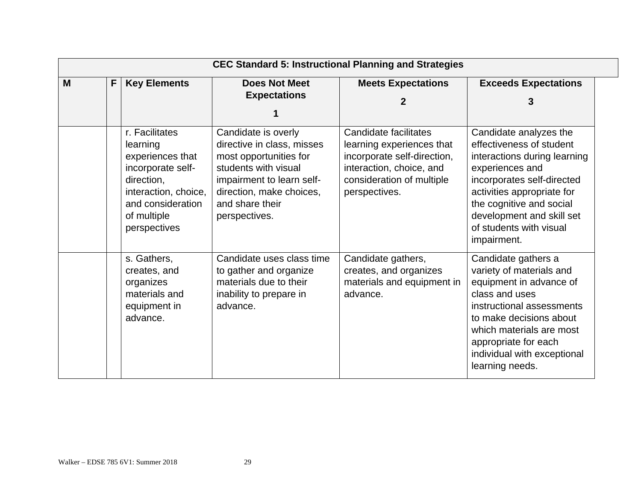|   | <b>CEC Standard 5: Instructional Planning and Strategies</b> |                                                                                                                                                               |                                                                                                                                                                                                  |                                                                                                                                                             |                                                                                                                                                                                                                                                                      |  |  |
|---|--------------------------------------------------------------|---------------------------------------------------------------------------------------------------------------------------------------------------------------|--------------------------------------------------------------------------------------------------------------------------------------------------------------------------------------------------|-------------------------------------------------------------------------------------------------------------------------------------------------------------|----------------------------------------------------------------------------------------------------------------------------------------------------------------------------------------------------------------------------------------------------------------------|--|--|
| M | F                                                            | <b>Key Elements</b>                                                                                                                                           | <b>Does Not Meet</b><br><b>Expectations</b>                                                                                                                                                      | <b>Meets Expectations</b><br>2                                                                                                                              | <b>Exceeds Expectations</b><br>3                                                                                                                                                                                                                                     |  |  |
|   |                                                              | r. Facilitates<br>learning<br>experiences that<br>incorporate self-<br>direction,<br>interaction, choice,<br>and consideration<br>of multiple<br>perspectives | Candidate is overly<br>directive in class, misses<br>most opportunities for<br>students with visual<br>impairment to learn self-<br>direction, make choices,<br>and share their<br>perspectives. | Candidate facilitates<br>learning experiences that<br>incorporate self-direction,<br>interaction, choice, and<br>consideration of multiple<br>perspectives. | Candidate analyzes the<br>effectiveness of student<br>interactions during learning<br>experiences and<br>incorporates self-directed<br>activities appropriate for<br>the cognitive and social<br>development and skill set<br>of students with visual<br>impairment. |  |  |
|   |                                                              | s. Gathers,<br>creates, and<br>organizes<br>materials and<br>equipment in<br>advance.                                                                         | Candidate uses class time<br>to gather and organize<br>materials due to their<br>inability to prepare in<br>advance.                                                                             | Candidate gathers,<br>creates, and organizes<br>materials and equipment in<br>advance.                                                                      | Candidate gathers a<br>variety of materials and<br>equipment in advance of<br>class and uses<br>instructional assessments<br>to make decisions about<br>which materials are most<br>appropriate for each<br>individual with exceptional<br>learning needs.           |  |  |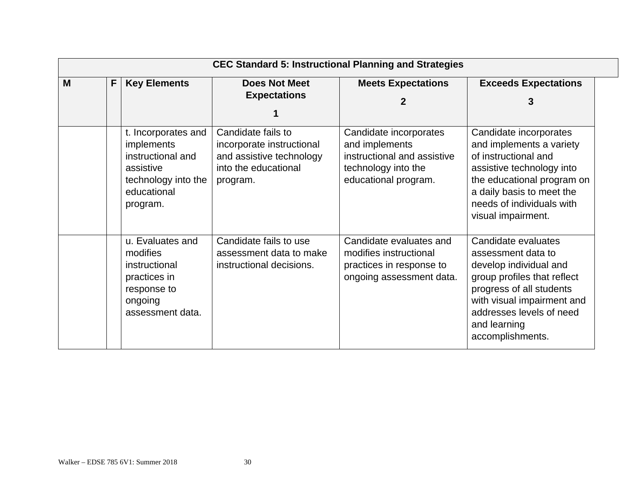|   | <b>CEC Standard 5: Instructional Planning and Strategies</b> |                                                                                                                              |                                                                                                                 |                                                                                                                        |                                                                                                                                                                                                                              |  |  |  |
|---|--------------------------------------------------------------|------------------------------------------------------------------------------------------------------------------------------|-----------------------------------------------------------------------------------------------------------------|------------------------------------------------------------------------------------------------------------------------|------------------------------------------------------------------------------------------------------------------------------------------------------------------------------------------------------------------------------|--|--|--|
| M | F                                                            | <b>Key Elements</b>                                                                                                          | <b>Does Not Meet</b>                                                                                            | <b>Meets Expectations</b>                                                                                              | <b>Exceeds Expectations</b>                                                                                                                                                                                                  |  |  |  |
|   |                                                              |                                                                                                                              | <b>Expectations</b>                                                                                             | 2                                                                                                                      | 3                                                                                                                                                                                                                            |  |  |  |
|   |                                                              |                                                                                                                              |                                                                                                                 |                                                                                                                        |                                                                                                                                                                                                                              |  |  |  |
|   |                                                              | t. Incorporates and<br><i>implements</i><br>instructional and<br>assistive<br>technology into the<br>educational<br>program. | Candidate fails to<br>incorporate instructional<br>and assistive technology<br>into the educational<br>program. | Candidate incorporates<br>and implements<br>instructional and assistive<br>technology into the<br>educational program. | Candidate incorporates<br>and implements a variety<br>of instructional and<br>assistive technology into<br>the educational program on<br>a daily basis to meet the<br>needs of individuals with<br>visual impairment.        |  |  |  |
|   |                                                              | u. Evaluates and<br>modifies<br>instructional<br>practices in<br>response to<br>ongoing<br>assessment data.                  | Candidate fails to use<br>assessment data to make<br>instructional decisions.                                   | Candidate evaluates and<br>modifies instructional<br>practices in response to<br>ongoing assessment data.              | Candidate evaluates<br>assessment data to<br>develop individual and<br>group profiles that reflect<br>progress of all students<br>with visual impairment and<br>addresses levels of need<br>and learning<br>accomplishments. |  |  |  |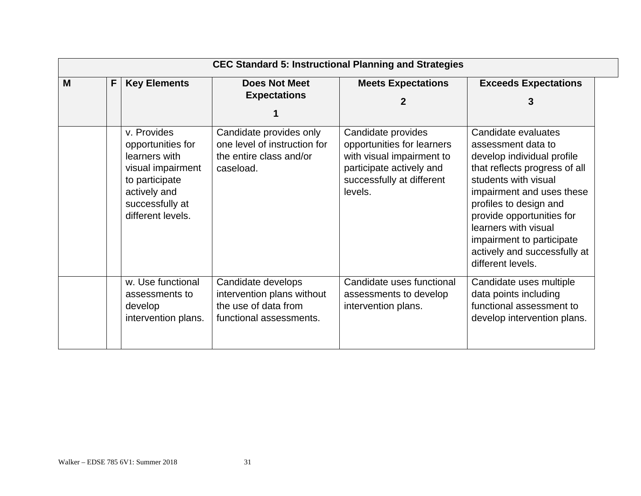|   | <b>CEC Standard 5: Instructional Planning and Strategies</b> |                                                                                                                                                  |                                                                                                     |                                                                                                                                                   |                                                                                                                                                                                                                                                                                                                                |  |  |  |  |
|---|--------------------------------------------------------------|--------------------------------------------------------------------------------------------------------------------------------------------------|-----------------------------------------------------------------------------------------------------|---------------------------------------------------------------------------------------------------------------------------------------------------|--------------------------------------------------------------------------------------------------------------------------------------------------------------------------------------------------------------------------------------------------------------------------------------------------------------------------------|--|--|--|--|
| M | F                                                            | <b>Key Elements</b>                                                                                                                              | <b>Does Not Meet</b><br><b>Expectations</b>                                                         | <b>Meets Expectations</b><br>2                                                                                                                    | <b>Exceeds Expectations</b><br>3                                                                                                                                                                                                                                                                                               |  |  |  |  |
|   |                                                              | v. Provides<br>opportunities for<br>learners with<br>visual impairment<br>to participate<br>actively and<br>successfully at<br>different levels. | Candidate provides only<br>one level of instruction for<br>the entire class and/or<br>caseload.     | Candidate provides<br>opportunities for learners<br>with visual impairment to<br>participate actively and<br>successfully at different<br>levels. | Candidate evaluates<br>assessment data to<br>develop individual profile<br>that reflects progress of all<br>students with visual<br>impairment and uses these<br>profiles to design and<br>provide opportunities for<br>learners with visual<br>impairment to participate<br>actively and successfully at<br>different levels. |  |  |  |  |
|   |                                                              | w. Use functional<br>assessments to<br>develop<br>intervention plans.                                                                            | Candidate develops<br>intervention plans without<br>the use of data from<br>functional assessments. | Candidate uses functional<br>assessments to develop<br>intervention plans.                                                                        | Candidate uses multiple<br>data points including<br>functional assessment to<br>develop intervention plans.                                                                                                                                                                                                                    |  |  |  |  |

31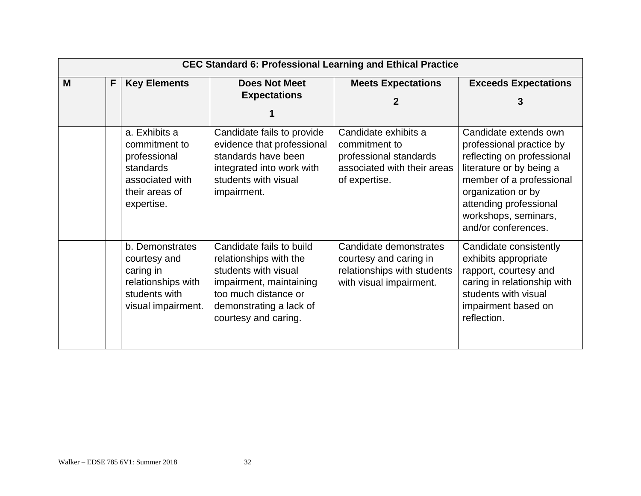|   | <b>CEC Standard 6: Professional Learning and Ethical Practice</b> |                                                                                                                |                                                                                                                                                                                  |                                                                                                                 |                                                                                                                                                                                                                     |  |  |  |
|---|-------------------------------------------------------------------|----------------------------------------------------------------------------------------------------------------|----------------------------------------------------------------------------------------------------------------------------------------------------------------------------------|-----------------------------------------------------------------------------------------------------------------|---------------------------------------------------------------------------------------------------------------------------------------------------------------------------------------------------------------------|--|--|--|
| M | F.                                                                | <b>Key Elements</b>                                                                                            | <b>Does Not Meet</b>                                                                                                                                                             | <b>Meets Expectations</b>                                                                                       | <b>Exceeds Expectations</b>                                                                                                                                                                                         |  |  |  |
|   |                                                                   |                                                                                                                | <b>Expectations</b>                                                                                                                                                              | 2                                                                                                               |                                                                                                                                                                                                                     |  |  |  |
|   |                                                                   | a. Exhibits a<br>commitment to<br>professional<br>standards<br>associated with<br>their areas of<br>expertise. | Candidate fails to provide<br>evidence that professional<br>standards have been<br>integrated into work with<br>students with visual<br>impairment.                              | Candidate exhibits a<br>commitment to<br>professional standards<br>associated with their areas<br>of expertise. | Candidate extends own<br>professional practice by<br>reflecting on professional<br>literature or by being a<br>member of a professional<br>organization or by<br>attending professional                             |  |  |  |
|   |                                                                   | b. Demonstrates<br>courtesy and<br>caring in<br>relationships with<br>students with<br>visual impairment.      | Candidate fails to build<br>relationships with the<br>students with visual<br>impairment, maintaining<br>too much distance or<br>demonstrating a lack of<br>courtesy and caring. | Candidate demonstrates<br>courtesy and caring in<br>relationships with students<br>with visual impairment.      | workshops, seminars,<br>and/or conferences.<br>Candidate consistently<br>exhibits appropriate<br>rapport, courtesy and<br>caring in relationship with<br>students with visual<br>impairment based on<br>reflection. |  |  |  |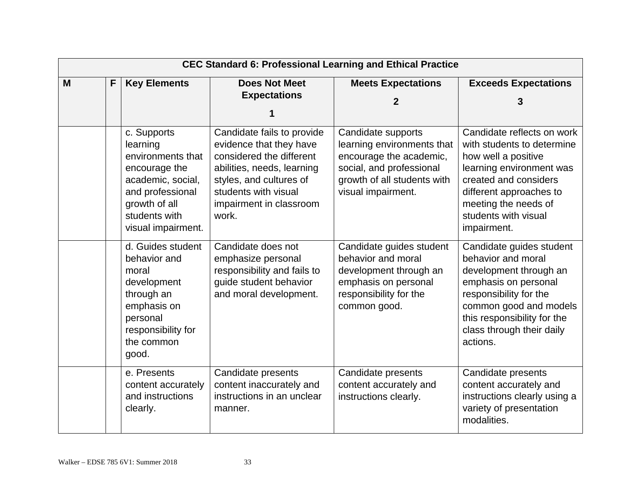|   | <b>CEC Standard 6: Professional Learning and Ethical Practice</b> |                                                                                                                                                                |                                                                                                                                                                                                        |                                                                                                                                                              |                                                                                                                                                                                                                                |  |  |  |
|---|-------------------------------------------------------------------|----------------------------------------------------------------------------------------------------------------------------------------------------------------|--------------------------------------------------------------------------------------------------------------------------------------------------------------------------------------------------------|--------------------------------------------------------------------------------------------------------------------------------------------------------------|--------------------------------------------------------------------------------------------------------------------------------------------------------------------------------------------------------------------------------|--|--|--|
| M | F                                                                 | <b>Key Elements</b>                                                                                                                                            | <b>Does Not Meet</b><br><b>Expectations</b>                                                                                                                                                            | <b>Meets Expectations</b><br>$\mathbf{2}$                                                                                                                    | <b>Exceeds Expectations</b><br>3                                                                                                                                                                                               |  |  |  |
|   |                                                                   | c. Supports<br>learning<br>environments that<br>encourage the<br>academic, social,<br>and professional<br>growth of all<br>students with<br>visual impairment. | Candidate fails to provide<br>evidence that they have<br>considered the different<br>abilities, needs, learning<br>styles, and cultures of<br>students with visual<br>impairment in classroom<br>work. | Candidate supports<br>learning environments that<br>encourage the academic,<br>social, and professional<br>growth of all students with<br>visual impairment. | Candidate reflects on work<br>with students to determine<br>how well a positive<br>learning environment was<br>created and considers<br>different approaches to<br>meeting the needs of<br>students with visual<br>impairment. |  |  |  |
|   |                                                                   | d. Guides student<br>behavior and<br>moral<br>development<br>through an<br>emphasis on<br>personal<br>responsibility for<br>the common<br>good.                | Candidate does not<br>emphasize personal<br>responsibility and fails to<br>guide student behavior<br>and moral development.                                                                            | Candidate guides student<br>behavior and moral<br>development through an<br>emphasis on personal<br>responsibility for the<br>common good.                   | Candidate guides student<br>behavior and moral<br>development through an<br>emphasis on personal<br>responsibility for the<br>common good and models<br>this responsibility for the<br>class through their daily<br>actions.   |  |  |  |
|   |                                                                   | e. Presents<br>content accurately<br>and instructions<br>clearly.                                                                                              | Candidate presents<br>content inaccurately and<br>instructions in an unclear<br>manner.                                                                                                                | Candidate presents<br>content accurately and<br>instructions clearly.                                                                                        | Candidate presents<br>content accurately and<br>instructions clearly using a<br>variety of presentation<br>modalities.                                                                                                         |  |  |  |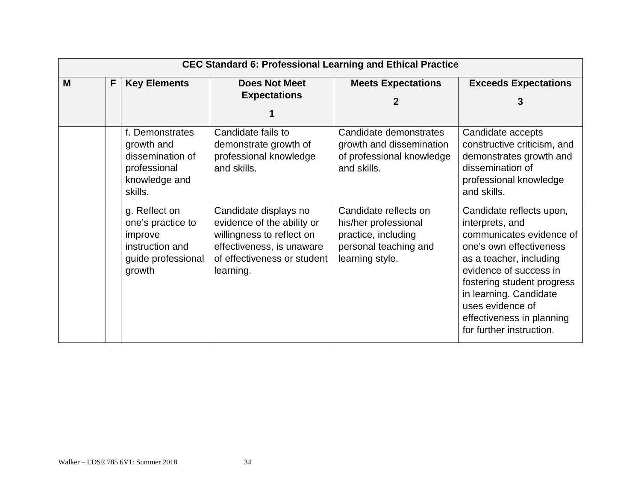|   | <b>CEC Standard 6: Professional Learning and Ethical Practice</b> |                                                                                                  |                                                                                                                                                           |                                                                                                                  |                                                                                                                                                                                                                                                                                              |  |  |  |  |
|---|-------------------------------------------------------------------|--------------------------------------------------------------------------------------------------|-----------------------------------------------------------------------------------------------------------------------------------------------------------|------------------------------------------------------------------------------------------------------------------|----------------------------------------------------------------------------------------------------------------------------------------------------------------------------------------------------------------------------------------------------------------------------------------------|--|--|--|--|
| M | F                                                                 | <b>Key Elements</b>                                                                              | <b>Does Not Meet</b>                                                                                                                                      | <b>Meets Expectations</b>                                                                                        | <b>Exceeds Expectations</b>                                                                                                                                                                                                                                                                  |  |  |  |  |
|   |                                                                   |                                                                                                  | <b>Expectations</b>                                                                                                                                       |                                                                                                                  | 3                                                                                                                                                                                                                                                                                            |  |  |  |  |
|   |                                                                   |                                                                                                  |                                                                                                                                                           |                                                                                                                  |                                                                                                                                                                                                                                                                                              |  |  |  |  |
|   |                                                                   | f. Demonstrates<br>growth and<br>dissemination of<br>professional<br>knowledge and<br>skills.    | Candidate fails to<br>demonstrate growth of<br>professional knowledge<br>and skills.                                                                      | Candidate demonstrates<br>growth and dissemination<br>of professional knowledge<br>and skills.                   | Candidate accepts<br>constructive criticism, and<br>demonstrates growth and<br>dissemination of<br>professional knowledge<br>and skills.                                                                                                                                                     |  |  |  |  |
|   |                                                                   | g. Reflect on<br>one's practice to<br>improve<br>instruction and<br>guide professional<br>growth | Candidate displays no<br>evidence of the ability or<br>willingness to reflect on<br>effectiveness, is unaware<br>of effectiveness or student<br>learning. | Candidate reflects on<br>his/her professional<br>practice, including<br>personal teaching and<br>learning style. | Candidate reflects upon,<br>interprets, and<br>communicates evidence of<br>one's own effectiveness<br>as a teacher, including<br>evidence of success in<br>fostering student progress<br>in learning. Candidate<br>uses evidence of<br>effectiveness in planning<br>for further instruction. |  |  |  |  |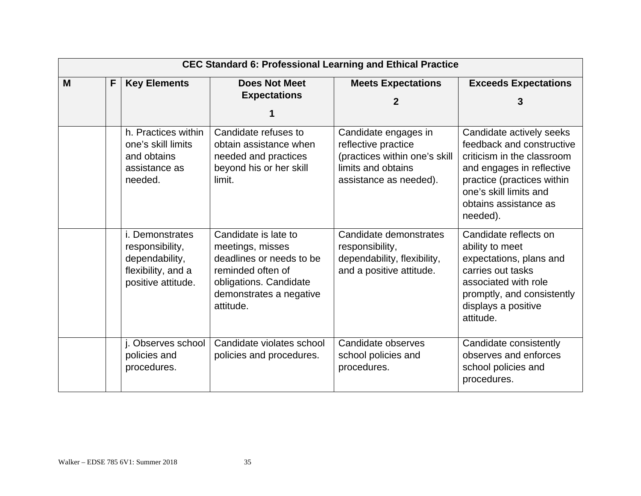|   | <b>CEC Standard 6: Professional Learning and Ethical Practice</b> |                                                                                                         |                                                                                                                                                             |                                                                                                                              |                                                                                                                                                                                                               |  |  |  |  |
|---|-------------------------------------------------------------------|---------------------------------------------------------------------------------------------------------|-------------------------------------------------------------------------------------------------------------------------------------------------------------|------------------------------------------------------------------------------------------------------------------------------|---------------------------------------------------------------------------------------------------------------------------------------------------------------------------------------------------------------|--|--|--|--|
| M | F.                                                                | <b>Key Elements</b>                                                                                     | <b>Does Not Meet</b><br><b>Expectations</b>                                                                                                                 | <b>Meets Expectations</b><br>2                                                                                               | <b>Exceeds Expectations</b><br>3                                                                                                                                                                              |  |  |  |  |
|   |                                                                   | h. Practices within<br>one's skill limits<br>and obtains<br>assistance as<br>needed.                    | Candidate refuses to<br>obtain assistance when<br>needed and practices<br>beyond his or her skill<br>limit.                                                 | Candidate engages in<br>reflective practice<br>(practices within one's skill<br>limits and obtains<br>assistance as needed). | Candidate actively seeks<br>feedback and constructive<br>criticism in the classroom<br>and engages in reflective<br>practice (practices within<br>one's skill limits and<br>obtains assistance as<br>needed). |  |  |  |  |
|   |                                                                   | <i>i.</i> Demonstrates<br>responsibility,<br>dependability,<br>flexibility, and a<br>positive attitude. | Candidate is late to<br>meetings, misses<br>deadlines or needs to be<br>reminded often of<br>obligations. Candidate<br>demonstrates a negative<br>attitude. | Candidate demonstrates<br>responsibility,<br>dependability, flexibility,<br>and a positive attitude.                         | Candidate reflects on<br>ability to meet<br>expectations, plans and<br>carries out tasks<br>associated with role<br>promptly, and consistently<br>displays a positive<br>attitude.                            |  |  |  |  |
|   |                                                                   | j. Observes school<br>policies and<br>procedures.                                                       | Candidate violates school<br>policies and procedures.                                                                                                       | Candidate observes<br>school policies and<br>procedures.                                                                     | Candidate consistently<br>observes and enforces<br>school policies and<br>procedures.                                                                                                                         |  |  |  |  |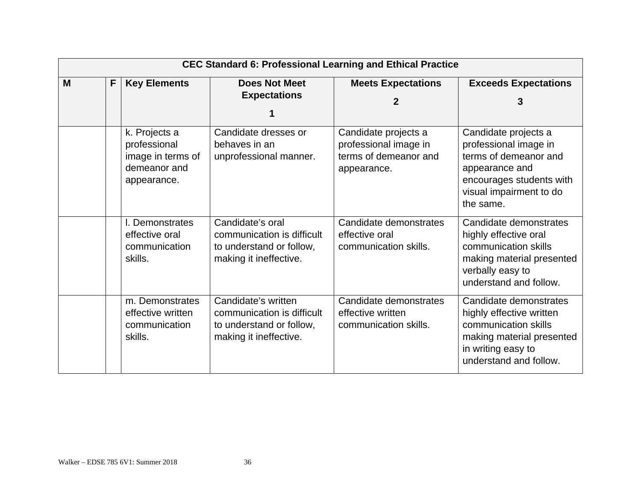|   | <b>CEC Standard 6: Professional Learning and Ethical Practice</b> |                                                                                   |                                                                                                         |                                                                                       |                                                                                                                                                              |  |  |  |
|---|-------------------------------------------------------------------|-----------------------------------------------------------------------------------|---------------------------------------------------------------------------------------------------------|---------------------------------------------------------------------------------------|--------------------------------------------------------------------------------------------------------------------------------------------------------------|--|--|--|
| M | F                                                                 | <b>Key Elements</b>                                                               | <b>Does Not Meet</b><br><b>Expectations</b>                                                             | <b>Meets Expectations</b><br>2                                                        | <b>Exceeds Expectations</b><br>3                                                                                                                             |  |  |  |
|   |                                                                   | k. Projects a<br>professional<br>image in terms of<br>demeanor and<br>appearance. | Candidate dresses or<br>behaves in an<br>unprofessional manner.                                         | Candidate projects a<br>professional image in<br>terms of demeanor and<br>appearance. | Candidate projects a<br>professional image in<br>terms of demeanor and<br>appearance and<br>encourages students with<br>visual impairment to do<br>the same. |  |  |  |
|   |                                                                   | I. Demonstrates<br>effective oral<br>communication<br>skills.                     | Candidate's oral<br>communication is difficult<br>to understand or follow,<br>making it ineffective.    | Candidate demonstrates<br>effective oral<br>communication skills.                     | Candidate demonstrates<br>highly effective oral<br>communication skills<br>making material presented<br>verbally easy to<br>understand and follow.           |  |  |  |
|   |                                                                   | m. Demonstrates<br>effective written<br>communication<br>skills.                  | Candidate's written<br>communication is difficult<br>to understand or follow,<br>making it ineffective. | Candidate demonstrates<br>effective written<br>communication skills.                  | Candidate demonstrates<br>highly effective written<br>communication skills<br>making material presented<br>in writing easy to<br>understand and follow.      |  |  |  |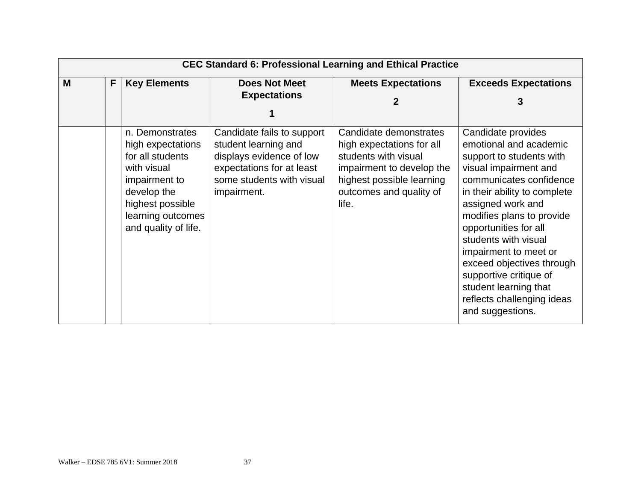|   | <b>CEC Standard 6: Professional Learning and Ethical Practice</b> |                                                                                                                                                                          |                                                                                                                                                         |                                                                                                                                                                           |                                                                                                                                                                                                                                                                                                                                                                                                                            |  |  |  |
|---|-------------------------------------------------------------------|--------------------------------------------------------------------------------------------------------------------------------------------------------------------------|---------------------------------------------------------------------------------------------------------------------------------------------------------|---------------------------------------------------------------------------------------------------------------------------------------------------------------------------|----------------------------------------------------------------------------------------------------------------------------------------------------------------------------------------------------------------------------------------------------------------------------------------------------------------------------------------------------------------------------------------------------------------------------|--|--|--|
| M | F.                                                                | <b>Key Elements</b>                                                                                                                                                      | <b>Does Not Meet</b><br><b>Expectations</b>                                                                                                             | <b>Meets Expectations</b><br>2                                                                                                                                            | <b>Exceeds Expectations</b><br>3                                                                                                                                                                                                                                                                                                                                                                                           |  |  |  |
|   |                                                                   | n. Demonstrates<br>high expectations<br>for all students<br>with visual<br>impairment to<br>develop the<br>highest possible<br>learning outcomes<br>and quality of life. | Candidate fails to support<br>student learning and<br>displays evidence of low<br>expectations for at least<br>some students with visual<br>impairment. | Candidate demonstrates<br>high expectations for all<br>students with visual<br>impairment to develop the<br>highest possible learning<br>outcomes and quality of<br>life. | Candidate provides<br>emotional and academic<br>support to students with<br>visual impairment and<br>communicates confidence<br>in their ability to complete<br>assigned work and<br>modifies plans to provide<br>opportunities for all<br>students with visual<br>impairment to meet or<br>exceed objectives through<br>supportive critique of<br>student learning that<br>reflects challenging ideas<br>and suggestions. |  |  |  |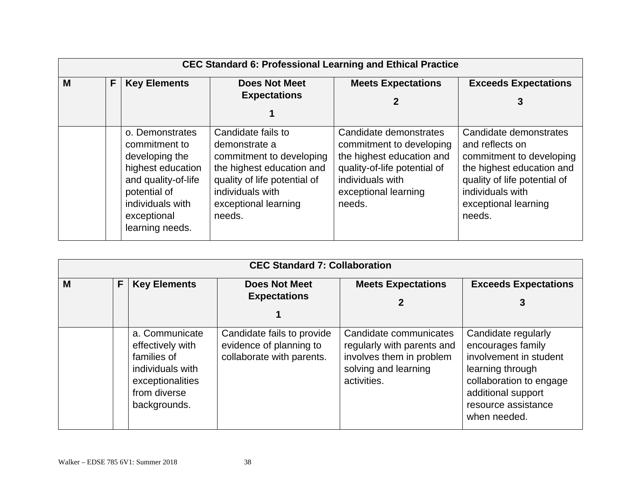|   | <b>CEC Standard 6: Professional Learning and Ethical Practice</b> |                                                                                                                                                                      |                                                                                                                                                                                    |                                                                                                                                                                       |                                                                                                                                                                                          |  |  |  |  |
|---|-------------------------------------------------------------------|----------------------------------------------------------------------------------------------------------------------------------------------------------------------|------------------------------------------------------------------------------------------------------------------------------------------------------------------------------------|-----------------------------------------------------------------------------------------------------------------------------------------------------------------------|------------------------------------------------------------------------------------------------------------------------------------------------------------------------------------------|--|--|--|--|
| M | F                                                                 | <b>Key Elements</b>                                                                                                                                                  | <b>Does Not Meet</b><br><b>Expectations</b>                                                                                                                                        | <b>Meets Expectations</b>                                                                                                                                             | <b>Exceeds Expectations</b><br>3                                                                                                                                                         |  |  |  |  |
|   |                                                                   | o. Demonstrates<br>commitment to<br>developing the<br>highest education<br>and quality-of-life<br>potential of<br>individuals with<br>exceptional<br>learning needs. | Candidate fails to<br>demonstrate a<br>commitment to developing<br>the highest education and<br>quality of life potential of<br>individuals with<br>exceptional learning<br>needs. | Candidate demonstrates<br>commitment to developing<br>the highest education and<br>quality-of-life potential of<br>individuals with<br>exceptional learning<br>needs. | Candidate demonstrates<br>and reflects on<br>commitment to developing<br>the highest education and<br>quality of life potential of<br>individuals with<br>exceptional learning<br>needs. |  |  |  |  |

| <b>CEC Standard 7: Collaboration</b> |    |                                                                                                                           |                                                                                    |                                                                                                                         |                                                                                                                                                                                |  |  |  |  |
|--------------------------------------|----|---------------------------------------------------------------------------------------------------------------------------|------------------------------------------------------------------------------------|-------------------------------------------------------------------------------------------------------------------------|--------------------------------------------------------------------------------------------------------------------------------------------------------------------------------|--|--|--|--|
| M                                    | F. | <b>Key Elements</b>                                                                                                       | <b>Does Not Meet</b><br><b>Expectations</b>                                        | <b>Meets Expectations</b><br>2                                                                                          | <b>Exceeds Expectations</b><br>3                                                                                                                                               |  |  |  |  |
|                                      |    | a. Communicate<br>effectively with<br>families of<br>individuals with<br>exceptionalities<br>from diverse<br>backgrounds. | Candidate fails to provide<br>evidence of planning to<br>collaborate with parents. | Candidate communicates<br>regularly with parents and<br>involves them in problem<br>solving and learning<br>activities. | Candidate regularly<br>encourages family<br>involvement in student<br>learning through<br>collaboration to engage<br>additional support<br>resource assistance<br>when needed. |  |  |  |  |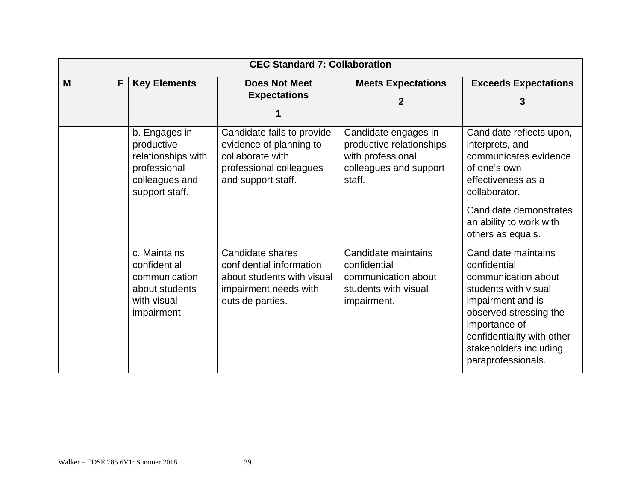|   | <b>CEC Standard 7: Collaboration</b> |                                                                                                       |                                                                                                                            |                                                                                                           |                                                                                                                                                                                                                                  |  |  |  |  |
|---|--------------------------------------|-------------------------------------------------------------------------------------------------------|----------------------------------------------------------------------------------------------------------------------------|-----------------------------------------------------------------------------------------------------------|----------------------------------------------------------------------------------------------------------------------------------------------------------------------------------------------------------------------------------|--|--|--|--|
| M | F                                    | <b>Key Elements</b>                                                                                   | <b>Does Not Meet</b><br><b>Expectations</b>                                                                                | <b>Meets Expectations</b><br>2                                                                            | <b>Exceeds Expectations</b><br>3                                                                                                                                                                                                 |  |  |  |  |
|   |                                      | b. Engages in<br>productive<br>relationships with<br>professional<br>colleagues and<br>support staff. | Candidate fails to provide<br>evidence of planning to<br>collaborate with<br>professional colleagues<br>and support staff. | Candidate engages in<br>productive relationships<br>with professional<br>colleagues and support<br>staff. | Candidate reflects upon,<br>interprets, and<br>communicates evidence<br>of one's own<br>effectiveness as a<br>collaborator.<br>Candidate demonstrates<br>an ability to work with<br>others as equals.                            |  |  |  |  |
|   |                                      | c. Maintains<br>confidential<br>communication<br>about students<br>with visual<br>impairment          | Candidate shares<br>confidential information<br>about students with visual<br>impairment needs with<br>outside parties.    | Candidate maintains<br>confidential<br>communication about<br>students with visual<br>impairment.         | Candidate maintains<br>confidential<br>communication about<br>students with visual<br>impairment and is<br>observed stressing the<br>importance of<br>confidentiality with other<br>stakeholders including<br>paraprofessionals. |  |  |  |  |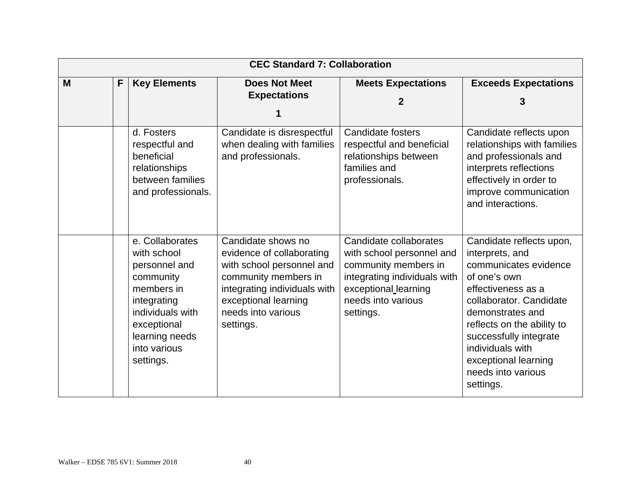|   | <b>CEC Standard 7: Collaboration</b> |                                                                                                                                                                             |                                                                                                                                                                                                 |                                                                                                                                                                        |                                                                                                                                                                                                                                                                                                  |  |  |  |
|---|--------------------------------------|-----------------------------------------------------------------------------------------------------------------------------------------------------------------------------|-------------------------------------------------------------------------------------------------------------------------------------------------------------------------------------------------|------------------------------------------------------------------------------------------------------------------------------------------------------------------------|--------------------------------------------------------------------------------------------------------------------------------------------------------------------------------------------------------------------------------------------------------------------------------------------------|--|--|--|
| M | F                                    | <b>Key Elements</b>                                                                                                                                                         | <b>Does Not Meet</b><br><b>Expectations</b>                                                                                                                                                     | <b>Meets Expectations</b><br>2                                                                                                                                         | <b>Exceeds Expectations</b><br>3                                                                                                                                                                                                                                                                 |  |  |  |
|   |                                      | d. Fosters<br>respectful and<br>beneficial<br>relationships<br>between families<br>and professionals.                                                                       | Candidate is disrespectful<br>when dealing with families<br>and professionals.                                                                                                                  | <b>Candidate fosters</b><br>respectful and beneficial<br>relationships between<br>families and<br>professionals.                                                       | Candidate reflects upon<br>relationships with families<br>and professionals and<br>interprets reflections<br>effectively in order to<br>improve communication<br>and interactions.                                                                                                               |  |  |  |
|   |                                      | e. Collaborates<br>with school<br>personnel and<br>community<br>members in<br>integrating<br>individuals with<br>exceptional<br>learning needs<br>into various<br>settings. | Candidate shows no<br>evidence of collaborating<br>with school personnel and<br>community members in<br>integrating individuals with<br>exceptional learning<br>needs into various<br>settings. | Candidate collaborates<br>with school personnel and<br>community members in<br>integrating individuals with<br>exceptional learning<br>needs into various<br>settings. | Candidate reflects upon,<br>interprets, and<br>communicates evidence<br>of one's own<br>effectiveness as a<br>collaborator, Candidate<br>demonstrates and<br>reflects on the ability to<br>successfully integrate<br>individuals with<br>exceptional learning<br>needs into various<br>settings. |  |  |  |